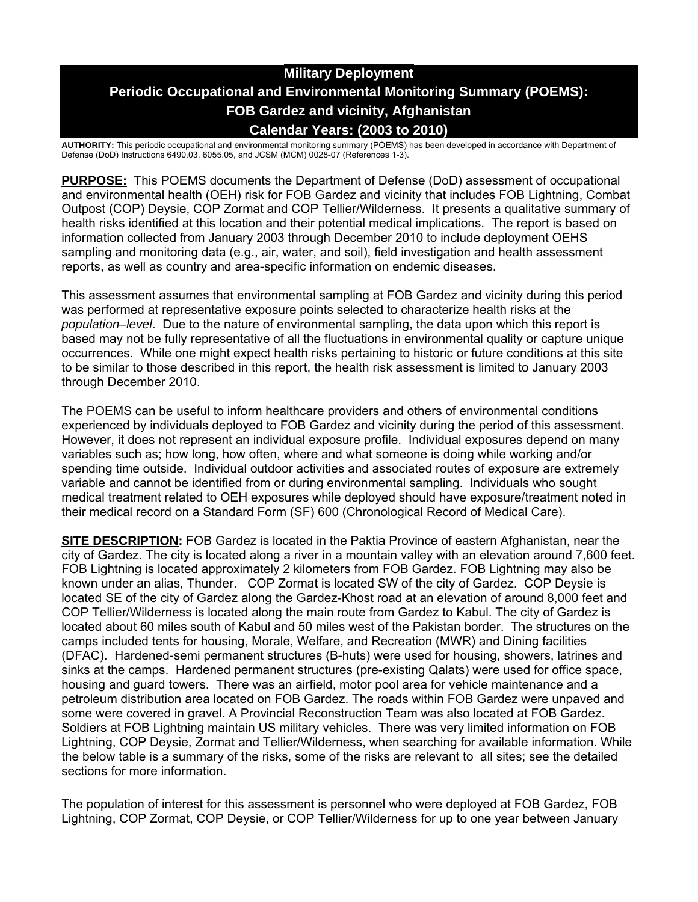# **Military Deployment Periodic Occupational and Environmental Monitoring Summary (POEMS): FOB Gardez and vicinity, Afghanistan Calendar Years: (2003 to 2010)**

**AUTHORITY:** This periodic occupational and environmental monitoring summary (POEMS) has been developed in accordance with Department of Defense (DoD) Instructions 6490.03, 6055.05, and JCSM (MCM) 0028-07 (References 1-3).

**PURPOSE:** This POEMS documents the Department of Defense (DoD) assessment of occupational and environmental health (OEH) risk for FOB Gardez and vicinity that includes FOB Lightning, Combat Outpost (COP) Deysie, COP Zormat and COP Tellier/Wilderness. It presents a qualitative summary of health risks identified at this location and their potential medical implications. The report is based on information collected from January 2003 through December 2010 to include deployment OEHS sampling and monitoring data (e.g., air, water, and soil), field investigation and health assessment reports, as well as country and area-specific information on endemic diseases.

This assessment assumes that environmental sampling at FOB Gardez and vicinity during this period was performed at representative exposure points selected to characterize health risks at the *population–level*. Due to the nature of environmental sampling, the data upon which this report is based may not be fully representative of all the fluctuations in environmental quality or capture unique occurrences. While one might expect health risks pertaining to historic or future conditions at this site to be similar to those described in this report, the health risk assessment is limited to January 2003 through December 2010.

The POEMS can be useful to inform healthcare providers and others of environmental conditions experienced by individuals deployed to FOB Gardez and vicinity during the period of this assessment. However, it does not represent an individual exposure profile. Individual exposures depend on many variables such as; how long, how often, where and what someone is doing while working and/or spending time outside. Individual outdoor activities and associated routes of exposure are extremely variable and cannot be identified from or during environmental sampling. Individuals who sought medical treatment related to OEH exposures while deployed should have exposure/treatment noted in their medical record on a Standard Form (SF) 600 (Chronological Record of Medical Care).

**SITE DESCRIPTION:** FOB Gardez is located in the Paktia Province of eastern Afghanistan, near the city of Gardez. The city is located along a river in a mountain valley with an elevation around 7,600 feet. FOB Lightning is located approximately 2 kilometers from FOB Gardez. FOB Lightning may also be known under an alias, Thunder. COP Zormat is located SW of the city of Gardez. COP Deysie is located SE of the city of Gardez along the Gardez-Khost road at an elevation of around 8,000 feet and COP Tellier/Wilderness is located along the main route from Gardez to Kabul. The city of Gardez is located about 60 miles south of Kabul and 50 miles west of the Pakistan border. The structures on the camps included tents for housing, Morale, Welfare, and Recreation (MWR) and Dining facilities (DFAC). Hardened-semi permanent structures (B-huts) were used for housing, showers, latrines and sinks at the camps. Hardened permanent structures (pre-existing Qalats) were used for office space, housing and guard towers. There was an airfield, motor pool area for vehicle maintenance and a petroleum distribution area located on FOB Gardez. The roads within FOB Gardez were unpaved and some were covered in gravel. A Provincial Reconstruction Team was also located at FOB Gardez. Soldiers at FOB Lightning maintain US military vehicles. There was very limited information on FOB Lightning, COP Deysie, Zormat and Tellier/Wilderness, when searching for available information. While the below table is a summary of the risks, some of the risks are relevant to all sites; see the detailed sections for more information.

The population of interest for this assessment is personnel who were deployed at FOB Gardez, FOB Lightning, COP Zormat, COP Deysie, or COP Tellier/Wilderness for up to one year between January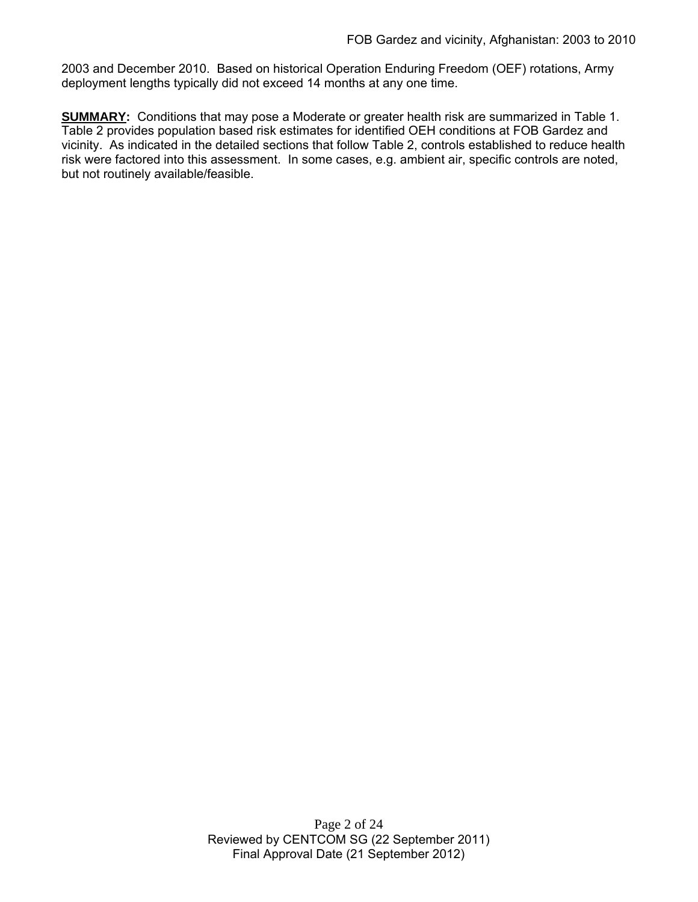2003 and December 2010. Based on historical Operation Enduring Freedom (OEF) rotations, Army deployment lengths typically did not exceed 14 months at any one time.

**SUMMARY:** Conditions that may pose a Moderate or greater health risk are summarized in Table 1. Table 2 provides population based risk estimates for identified OEH conditions at FOB Gardez and vicinity. As indicated in the detailed sections that follow Table 2, controls established to reduce health risk were factored into this assessment. In some cases, e.g. ambient air, specific controls are noted, but not routinely available/feasible.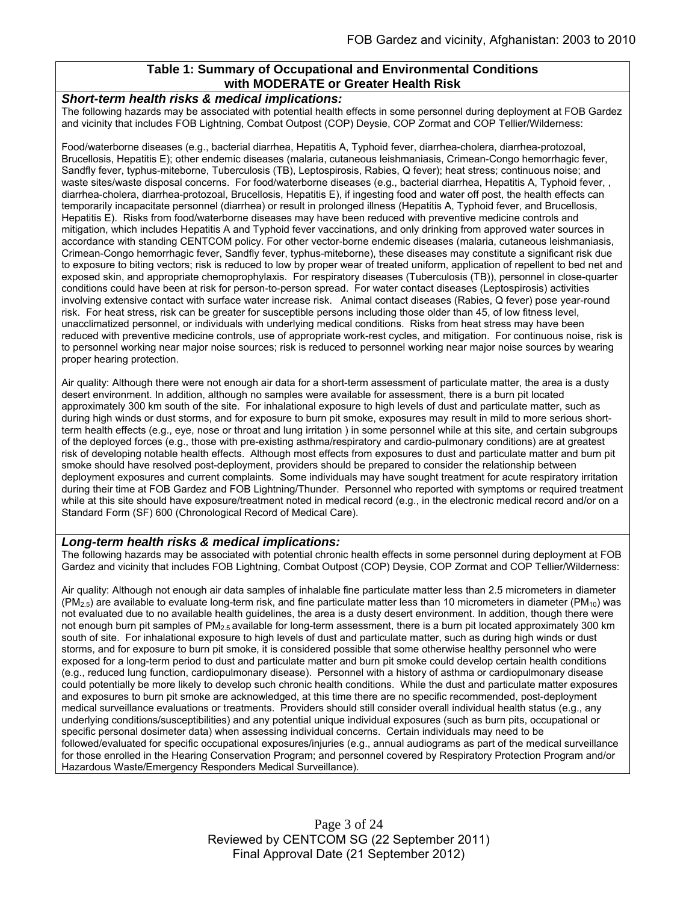### **Table 1: Summary of Occupational and Environmental Conditions with MODERATE or Greater Health Risk**

#### *Short-term health risks & medical implications:*

The following hazards may be associated with potential health effects in some personnel during deployment at FOB Gardez and vicinity that includes FOB Lightning, Combat Outpost (COP) Deysie, COP Zormat and COP Tellier/Wilderness:

Food/waterborne diseases (e.g., bacterial diarrhea, Hepatitis A, Typhoid fever, diarrhea-cholera, diarrhea-protozoal, Brucellosis, Hepatitis E); other endemic diseases (malaria, cutaneous leishmaniasis, Crimean-Congo hemorrhagic fever, Sandfly fever, typhus-miteborne, Tuberculosis (TB), Leptospirosis, Rabies, Q fever); heat stress; continuous noise; and waste sites/waste disposal concerns. For food/waterborne diseases (e.g., bacterial diarrhea, Hepatitis A, Typhoid fever, , diarrhea-cholera, diarrhea-protozoal, Brucellosis, Hepatitis E), if ingesting food and water off post, the health effects can temporarily incapacitate personnel (diarrhea) or result in prolonged illness (Hepatitis A, Typhoid fever, and Brucellosis, Hepatitis E). Risks from food/waterborne diseases may have been reduced with preventive medicine controls and mitigation, which includes Hepatitis A and Typhoid fever vaccinations, and only drinking from approved water sources in accordance with standing CENTCOM policy. For other vector-borne endemic diseases (malaria, cutaneous leishmaniasis, Crimean-Congo hemorrhagic fever, Sandfly fever, typhus-miteborne), these diseases may constitute a significant risk due to exposure to biting vectors; risk is reduced to low by proper wear of treated uniform, application of repellent to bed net and exposed skin, and appropriate chemoprophylaxis. For respiratory diseases (Tuberculosis (TB)), personnel in close-quarter conditions could have been at risk for person-to-person spread. For water contact diseases (Leptospirosis) activities involving extensive contact with surface water increase risk. Animal contact diseases (Rabies, Q fever) pose year-round risk. For heat stress, risk can be greater for susceptible persons including those older than 45, of low fitness level, unacclimatized personnel, or individuals with underlying medical conditions. Risks from heat stress may have been reduced with preventive medicine controls, use of appropriate work-rest cycles, and mitigation. For continuous noise, risk is to personnel working near major noise sources; risk is reduced to personnel working near major noise sources by wearing proper hearing protection.

Air quality: Although there were not enough air data for a short-term assessment of particulate matter, the area is a dusty desert environment. In addition, although no samples were available for assessment, there is a burn pit located approximately 300 km south of the site. For inhalational exposure to high levels of dust and particulate matter, such as during high winds or dust storms, and for exposure to burn pit smoke, exposures may result in mild to more serious shortterm health effects (e.g., eye, nose or throat and lung irritation ) in some personnel while at this site, and certain subgroups of the deployed forces (e.g., those with pre-existing asthma/respiratory and cardio-pulmonary conditions) are at greatest risk of developing notable health effects. Although most effects from exposures to dust and particulate matter and burn pit smoke should have resolved post-deployment, providers should be prepared to consider the relationship between deployment exposures and current complaints. Some individuals may have sought treatment for acute respiratory irritation during their time at FOB Gardez and FOB Lightning/Thunder. Personnel who reported with symptoms or required treatment while at this site should have exposure/treatment noted in medical record (e.g., in the electronic medical record and/or on a Standard Form (SF) 600 (Chronological Record of Medical Care).

#### *Long-term health risks & medical implications:*

The following hazards may be associated with potential chronic health effects in some personnel during deployment at FOB Gardez and vicinity that includes FOB Lightning, Combat Outpost (COP) Deysie, COP Zormat and COP Tellier/Wilderness:

Air quality: Although not enough air data samples of inhalable fine particulate matter less than 2.5 micrometers in diameter  $(PM<sub>2.5</sub>)$  are available to evaluate long-term risk, and fine particulate matter less than 10 micrometers in diameter (PM<sub>10</sub>) was not evaluated due to no available health guidelines, the area is a dusty desert environment. In addition, though there were not enough burn pit samples of PM<sub>2.5</sub> available for long-term assessment, there is a burn pit located approximately 300 km south of site. For inhalational exposure to high levels of dust and particulate matter, such as during high winds or dust storms, and for exposure to burn pit smoke, it is considered possible that some otherwise healthy personnel who were exposed for a long-term period to dust and particulate matter and burn pit smoke could develop certain health conditions (e.g., reduced lung function, cardiopulmonary disease). Personnel with a history of asthma or cardiopulmonary disease could potentially be more likely to develop such chronic health conditions. While the dust and particulate matter exposures and exposures to burn pit smoke are acknowledged, at this time there are no specific recommended, post-deployment medical surveillance evaluations or treatments. Providers should still consider overall individual health status (e.g., any underlying conditions/susceptibilities) and any potential unique individual exposures (such as burn pits, occupational or specific personal dosimeter data) when assessing individual concerns. Certain individuals may need to be followed/evaluated for specific occupational exposures/injuries (e.g., annual audiograms as part of the medical surveillance for those enrolled in the Hearing Conservation Program; and personnel covered by Respiratory Protection Program and/or Hazardous Waste/Emergency Responders Medical Surveillance).

> Page 3 of 24 Reviewed by CENTCOM SG (22 September 2011) Final Approval Date (21 September 2012)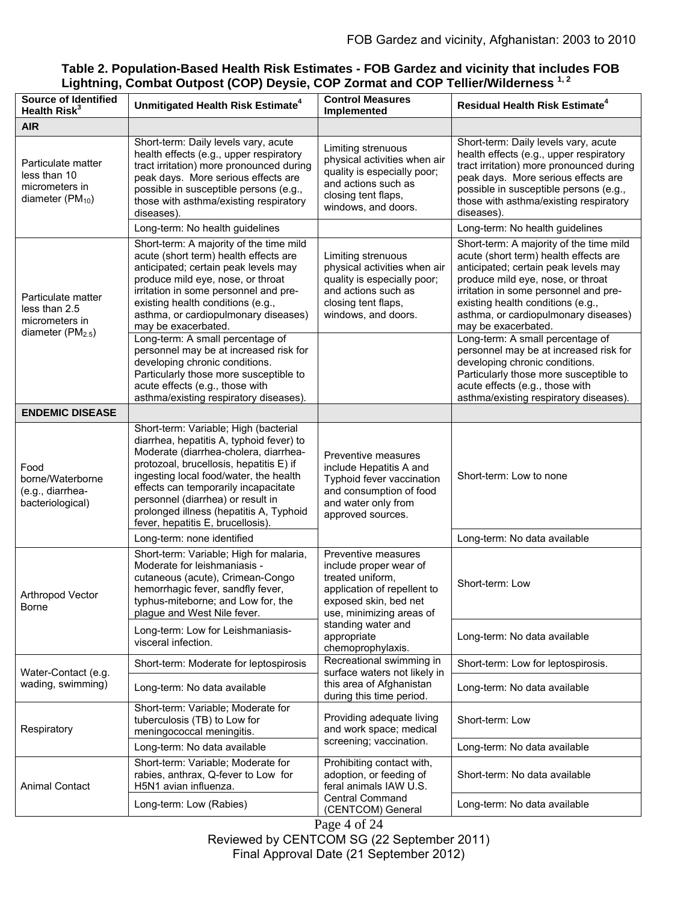## **Table 2. Population-Based Health Risk Estimates - FOB Gardez and vicinity that includes FOB Lightning, Combat Outpost (COP) Deysie, COP Zormat and COP Tellier/Wilderness 1, 2**

| <b>Source of Identified</b><br>Health Risk <sup>3</sup>                      | Unmitigated Health Risk Estimate <sup>4</sup>                                                                                                                                                                                                                                                                                                                                | <b>Control Measures</b><br>Implemented                                                                                                                                                                          | <b>Residual Health Risk Estimate<sup>4</sup></b>                                                                                                                                                                                                                                                           |
|------------------------------------------------------------------------------|------------------------------------------------------------------------------------------------------------------------------------------------------------------------------------------------------------------------------------------------------------------------------------------------------------------------------------------------------------------------------|-----------------------------------------------------------------------------------------------------------------------------------------------------------------------------------------------------------------|------------------------------------------------------------------------------------------------------------------------------------------------------------------------------------------------------------------------------------------------------------------------------------------------------------|
| <b>AIR</b>                                                                   |                                                                                                                                                                                                                                                                                                                                                                              |                                                                                                                                                                                                                 |                                                                                                                                                                                                                                                                                                            |
| Particulate matter<br>less than 10<br>micrometers in<br>diameter $(PM_{10})$ | Short-term: Daily levels vary, acute<br>health effects (e.g., upper respiratory<br>tract irritation) more pronounced during<br>peak days. More serious effects are<br>possible in susceptible persons (e.g.,<br>those with asthma/existing respiratory<br>diseases).                                                                                                         | Limiting strenuous<br>physical activities when air<br>quality is especially poor;<br>and actions such as<br>closing tent flaps,<br>windows, and doors.                                                          | Short-term: Daily levels vary, acute<br>health effects (e.g., upper respiratory<br>tract irritation) more pronounced during<br>peak days. More serious effects are<br>possible in susceptible persons (e.g.,<br>those with asthma/existing respiratory<br>diseases).                                       |
|                                                                              | Long-term: No health guidelines                                                                                                                                                                                                                                                                                                                                              |                                                                                                                                                                                                                 | Long-term: No health guidelines                                                                                                                                                                                                                                                                            |
| Particulate matter<br>less than 2.5<br>micrometers in<br>diameter $(PM2.5)$  | Short-term: A majority of the time mild<br>acute (short term) health effects are<br>anticipated; certain peak levels may<br>produce mild eye, nose, or throat<br>irritation in some personnel and pre-<br>existing health conditions (e.g.,<br>asthma, or cardiopulmonary diseases)<br>may be exacerbated.                                                                   | Limiting strenuous<br>physical activities when air<br>quality is especially poor;<br>and actions such as<br>closing tent flaps,<br>windows, and doors.                                                          | Short-term: A majority of the time mild<br>acute (short term) health effects are<br>anticipated; certain peak levels may<br>produce mild eye, nose, or throat<br>irritation in some personnel and pre-<br>existing health conditions (e.g.,<br>asthma, or cardiopulmonary diseases)<br>may be exacerbated. |
|                                                                              | Long-term: A small percentage of<br>personnel may be at increased risk for<br>developing chronic conditions.<br>Particularly those more susceptible to<br>acute effects (e.g., those with<br>asthma/existing respiratory diseases).                                                                                                                                          |                                                                                                                                                                                                                 | Long-term: A small percentage of<br>personnel may be at increased risk for<br>developing chronic conditions.<br>Particularly those more susceptible to<br>acute effects (e.g., those with<br>asthma/existing respiratory diseases).                                                                        |
| <b>ENDEMIC DISEASE</b>                                                       |                                                                                                                                                                                                                                                                                                                                                                              |                                                                                                                                                                                                                 |                                                                                                                                                                                                                                                                                                            |
| Food<br>borne/Waterborne<br>(e.g., diarrhea-<br>bacteriological)             | Short-term: Variable; High (bacterial<br>diarrhea, hepatitis A, typhoid fever) to<br>Moderate (diarrhea-cholera, diarrhea-<br>protozoal, brucellosis, hepatitis E) if<br>ingesting local food/water, the health<br>effects can temporarily incapacitate<br>personnel (diarrhea) or result in<br>prolonged illness (hepatitis A, Typhoid<br>fever, hepatitis E, brucellosis). | Preventive measures<br>include Hepatitis A and<br>Typhoid fever vaccination<br>and consumption of food<br>and water only from<br>approved sources.                                                              | Short-term: Low to none                                                                                                                                                                                                                                                                                    |
|                                                                              | Long-term: none identified                                                                                                                                                                                                                                                                                                                                                   |                                                                                                                                                                                                                 | Long-term: No data available                                                                                                                                                                                                                                                                               |
| Arthropod Vector<br>Borne                                                    | Short-term: Variable; High for malaria,<br>Moderate for leishmaniasis -<br>cutaneous (acute), Crimean-Congo<br>hemorrhagic fever, sandfly fever,<br>typhus-miteborne; and Low for, the<br>plague and West Nile fever.                                                                                                                                                        | Preventive measures<br>include proper wear of<br>treated uniform,<br>application of repellent to<br>exposed skin, bed net<br>use, minimizing areas of<br>standing water and<br>appropriate<br>chemoprophylaxis. | Short-term: Low                                                                                                                                                                                                                                                                                            |
|                                                                              | Long-term: Low for Leishmaniasis-<br>visceral infection.                                                                                                                                                                                                                                                                                                                     |                                                                                                                                                                                                                 | Long-term: No data available                                                                                                                                                                                                                                                                               |
| Water-Contact (e.g.<br>wading, swimming)                                     | Short-term: Moderate for leptospirosis                                                                                                                                                                                                                                                                                                                                       | Recreational swimming in<br>surface waters not likely in<br>this area of Afghanistan<br>during this time period.                                                                                                | Short-term: Low for leptospirosis.                                                                                                                                                                                                                                                                         |
|                                                                              | Long-term: No data available                                                                                                                                                                                                                                                                                                                                                 |                                                                                                                                                                                                                 | Long-term: No data available                                                                                                                                                                                                                                                                               |
| Respiratory                                                                  | Short-term: Variable; Moderate for<br>tuberculosis (TB) to Low for<br>meningococcal meningitis.                                                                                                                                                                                                                                                                              | Providing adequate living<br>and work space; medical                                                                                                                                                            | Short-term: Low                                                                                                                                                                                                                                                                                            |
|                                                                              | Long-term: No data available                                                                                                                                                                                                                                                                                                                                                 | screening; vaccination.                                                                                                                                                                                         | Long-term: No data available                                                                                                                                                                                                                                                                               |
| <b>Animal Contact</b>                                                        | Short-term: Variable; Moderate for<br>rabies, anthrax, Q-fever to Low for<br>H5N1 avian influenza.                                                                                                                                                                                                                                                                           | Prohibiting contact with,<br>adoption, or feeding of<br>feral animals IAW U.S.<br><b>Central Command</b>                                                                                                        | Short-term: No data available                                                                                                                                                                                                                                                                              |
|                                                                              | Long-term: Low (Rabies)                                                                                                                                                                                                                                                                                                                                                      | (CENTCOM) General                                                                                                                                                                                               | Long-term: No data available                                                                                                                                                                                                                                                                               |

Page 4 of 24 Reviewed by CENTCOM SG (22 September 2011) Final Approval Date (21 September 2012)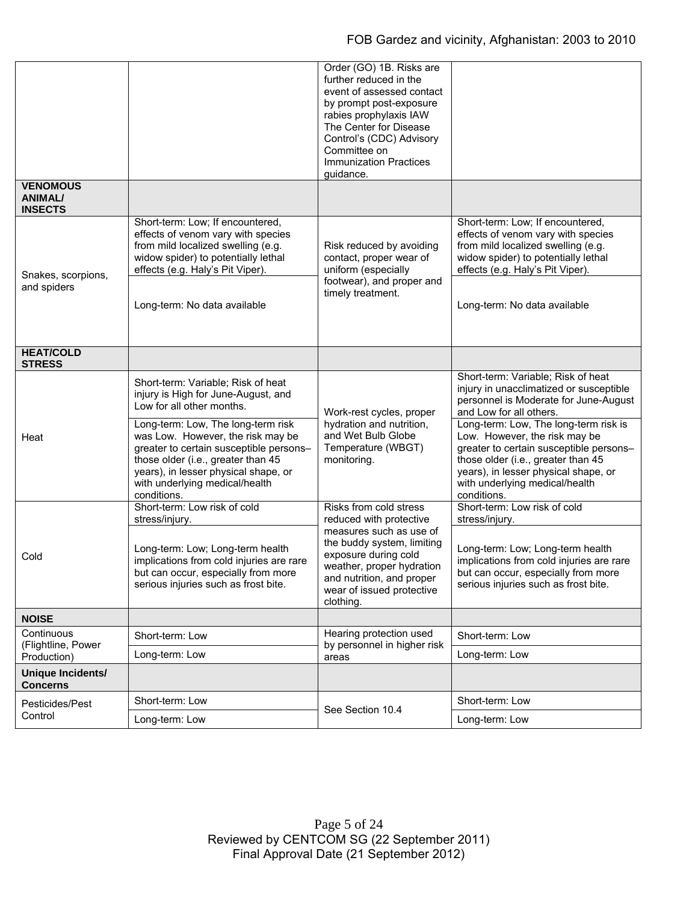|                                                     |                                                                                                                                                                                                                                                   | Order (GO) 1B. Risks are<br>further reduced in the<br>event of assessed contact<br>by prompt post-exposure<br>rabies prophylaxis IAW<br>The Center for Disease<br>Control's (CDC) Advisory<br>Committee on<br><b>Immunization Practices</b><br>guidance. |                                                                                                                                                                                                                                                  |
|-----------------------------------------------------|---------------------------------------------------------------------------------------------------------------------------------------------------------------------------------------------------------------------------------------------------|----------------------------------------------------------------------------------------------------------------------------------------------------------------------------------------------------------------------------------------------------------|--------------------------------------------------------------------------------------------------------------------------------------------------------------------------------------------------------------------------------------------------|
| <b>VENOMOUS</b><br><b>ANIMAL/</b><br><b>INSECTS</b> |                                                                                                                                                                                                                                                   |                                                                                                                                                                                                                                                          |                                                                                                                                                                                                                                                  |
| Snakes, scorpions,                                  | Short-term: Low; If encountered,<br>effects of venom vary with species<br>from mild localized swelling (e.g.<br>widow spider) to potentially lethal<br>effects (e.g. Haly's Pit Viper).                                                           | Risk reduced by avoiding<br>contact, proper wear of<br>uniform (especially                                                                                                                                                                               | Short-term: Low; If encountered,<br>effects of venom vary with species<br>from mild localized swelling (e.g.<br>widow spider) to potentially lethal<br>effects (e.g. Haly's Pit Viper).                                                          |
| and spiders                                         | Long-term: No data available                                                                                                                                                                                                                      | footwear), and proper and<br>timely treatment.                                                                                                                                                                                                           | Long-term: No data available                                                                                                                                                                                                                     |
| <b>HEAT/COLD</b><br><b>STRESS</b>                   |                                                                                                                                                                                                                                                   |                                                                                                                                                                                                                                                          |                                                                                                                                                                                                                                                  |
| Heat                                                | Short-term: Variable; Risk of heat<br>injury is High for June-August, and<br>Low for all other months.                                                                                                                                            | Work-rest cycles, proper<br>hydration and nutrition,<br>and Wet Bulb Globe<br>Temperature (WBGT)<br>monitoring.                                                                                                                                          | Short-term: Variable; Risk of heat<br>injury in unacclimatized or susceptible<br>personnel is Moderate for June-August<br>and Low for all others.                                                                                                |
|                                                     | Long-term: Low, The long-term risk<br>was Low. However, the risk may be<br>greater to certain susceptible persons-<br>those older (i.e., greater than 45<br>years), in lesser physical shape, or<br>with underlying medical/health<br>conditions. |                                                                                                                                                                                                                                                          | Long-term: Low, The long-term risk is<br>Low. However, the risk may be<br>greater to certain susceptible persons-<br>those older (i.e., greater than 45<br>years), in lesser physical shape, or<br>with underlying medical/health<br>conditions. |
| Cold                                                | Short-term: Low risk of cold<br>stress/injury.                                                                                                                                                                                                    | Risks from cold stress<br>reduced with protective                                                                                                                                                                                                        | Short-term: Low risk of cold<br>stress/injury.                                                                                                                                                                                                   |
|                                                     | Long-term: Low; Long-term health<br>implications from cold injuries are rare<br>but can occur, especially from more<br>serious injuries such as frost bite.                                                                                       | measures such as use of<br>the buddy system, limiting<br>exposure during cold<br>weather, proper hydration<br>and nutrition, and proper<br>wear of issued protective<br>clothing.                                                                        | Long-term: Low; Long-term health<br>implications from cold injuries are rare<br>but can occur, especially from more<br>serious injuries such as frost bite.                                                                                      |
| <b>NOISE</b>                                        |                                                                                                                                                                                                                                                   |                                                                                                                                                                                                                                                          |                                                                                                                                                                                                                                                  |
| Continuous<br>(Flightline, Power<br>Production)     | Short-term: Low                                                                                                                                                                                                                                   | Hearing protection used<br>by personnel in higher risk<br>areas                                                                                                                                                                                          | Short-term: Low                                                                                                                                                                                                                                  |
|                                                     | Long-term: Low                                                                                                                                                                                                                                    |                                                                                                                                                                                                                                                          | Long-term: Low                                                                                                                                                                                                                                   |
| Unique Incidents/<br><b>Concerns</b>                |                                                                                                                                                                                                                                                   |                                                                                                                                                                                                                                                          |                                                                                                                                                                                                                                                  |
| Pesticides/Pest<br>Control                          | Short-term: Low                                                                                                                                                                                                                                   | See Section 10.4                                                                                                                                                                                                                                         | Short-term: Low                                                                                                                                                                                                                                  |
|                                                     | Long-term: Low                                                                                                                                                                                                                                    |                                                                                                                                                                                                                                                          | Long-term: Low                                                                                                                                                                                                                                   |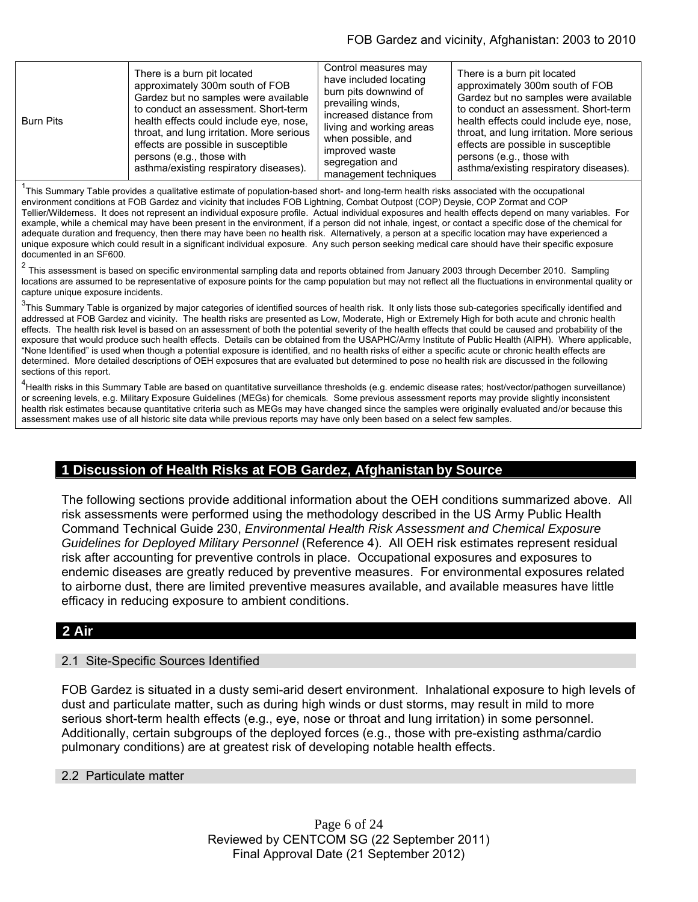| <b>Burn Pits</b> | There is a burn pit located<br>approximately 300m south of FOB<br>Gardez but no samples were available<br>to conduct an assessment. Short-term<br>health effects could include eye, nose,<br>throat, and lung irritation. More serious<br>effects are possible in susceptible<br>persons (e.g., those with<br>asthma/existing respiratory diseases). | Control measures may<br>have included locating<br>burn pits downwind of<br>prevailing winds,<br>increased distance from<br>living and working areas<br>when possible, and<br>improved waste<br>segregation and<br>management techniques | There is a burn pit located<br>approximately 300m south of FOB<br>Gardez but no samples were available<br>to conduct an assessment. Short-term<br>health effects could include eye, nose,<br>throat, and lung irritation. More serious<br>effects are possible in susceptible<br>persons (e.g., those with<br>asthma/existing respiratory diseases). |
|------------------|------------------------------------------------------------------------------------------------------------------------------------------------------------------------------------------------------------------------------------------------------------------------------------------------------------------------------------------------------|-----------------------------------------------------------------------------------------------------------------------------------------------------------------------------------------------------------------------------------------|------------------------------------------------------------------------------------------------------------------------------------------------------------------------------------------------------------------------------------------------------------------------------------------------------------------------------------------------------|
|------------------|------------------------------------------------------------------------------------------------------------------------------------------------------------------------------------------------------------------------------------------------------------------------------------------------------------------------------------------------------|-----------------------------------------------------------------------------------------------------------------------------------------------------------------------------------------------------------------------------------------|------------------------------------------------------------------------------------------------------------------------------------------------------------------------------------------------------------------------------------------------------------------------------------------------------------------------------------------------------|

<sup>1</sup>This Summary Table provides a qualitative estimate of population-based short- and long-term health risks associated with the occupational environment conditions at FOB Gardez and vicinity that includes FOB Lightning, Combat Outpost (COP) Deysie, COP Zormat and COP Tellier/Wilderness. It does not represent an individual exposure profile. Actual individual exposures and health effects depend on many variables. For example, while a chemical may have been present in the environment, if a person did not inhale, ingest, or contact a specific dose of the chemical for adequate duration and frequency, then there may have been no health risk. Alternatively, a person at a specific location may have experienced a unique exposure which could result in a significant individual exposure. Any such person seeking medical care should have their specific exposure documented in an SF600.

 $2$  This assessment is based on specific environmental sampling data and reports obtained from January 2003 through December 2010. Sampling locations are assumed to be representative of exposure points for the camp population but may not reflect all the fluctuations in environmental quality or capture unique exposure incidents.

<sup>3</sup>This Summary Table is organized by major categories of identified sources of health risk. It only lists those sub-categories specifically identified and addressed at FOB Gardez and vicinity. The health risks are presented as Low, Moderate, High or Extremely High for both acute and chronic health effects. The health risk level is based on an assessment of both the potential severity of the health effects that could be caused and probability of the exposure that would produce such health effects. Details can be obtained from the USAPHC/Army Institute of Public Health (AIPH). Where applicable, "None Identified" is used when though a potential exposure is identified, and no health risks of either a specific acute or chronic health effects are determined. More detailed descriptions of OEH exposures that are evaluated but determined to pose no health risk are discussed in the following sections of this report.

<sup>4</sup>Health risks in this Summary Table are based on quantitative surveillance thresholds (e.g. endemic disease rates; host/vector/pathogen surveillance) or screening levels, e.g. Military Exposure Guidelines (MEGs) for chemicals*.* Some previous assessment reports may provide slightly inconsistent health risk estimates because quantitative criteria such as MEGs may have changed since the samples were originally evaluated and/or because this assessment makes use of all historic site data while previous reports may have only been based on a select few samples.

# **1 Discussion of Health Risks at FOB Gardez, Afghanistan by Source**

The following sections provide additional information about the OEH conditions summarized above. All risk assessments were performed using the methodology described in the US Army Public Health Command Technical Guide 230, *Environmental Health Risk Assessment and Chemical Exposure Guidelines for Deployed Military Personnel* (Reference 4). All OEH risk estimates represent residual risk after accounting for preventive controls in place. Occupational exposures and exposures to endemic diseases are greatly reduced by preventive measures. For environmental exposures related to airborne dust, there are limited preventive measures available, and available measures have little efficacy in reducing exposure to ambient conditions.

# **2 Air**

### 2.1 Site-Specific Sources Identified

FOB Gardez is situated in a dusty semi-arid desert environment. Inhalational exposure to high levels of dust and particulate matter, such as during high winds or dust storms, may result in mild to more serious short-term health effects (e.g., eye, nose or throat and lung irritation) in some personnel. Additionally, certain subgroups of the deployed forces (e.g., those with pre-existing asthma/cardio pulmonary conditions) are at greatest risk of developing notable health effects.

### 2.2 Particulate matter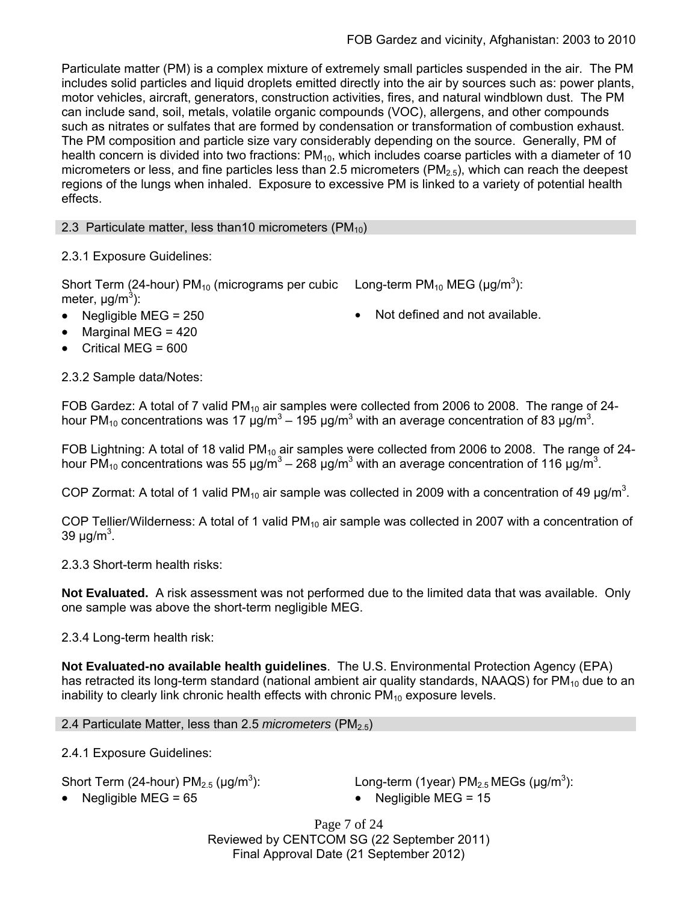Particulate matter (PM) is a complex mixture of extremely small particles suspended in the air. The PM includes solid particles and liquid droplets emitted directly into the air by sources such as: power plants, motor vehicles, aircraft, generators, construction activities, fires, and natural windblown dust. The PM can include sand, soil, metals, volatile organic compounds (VOC), allergens, and other compounds such as nitrates or sulfates that are formed by condensation or transformation of combustion exhaust. The PM composition and particle size vary considerably depending on the source. Generally, PM of health concern is divided into two fractions:  $PM_{10}$ , which includes coarse particles with a diameter of 10 micrometers or less, and fine particles less than 2.5 micrometers ( $PM<sub>2.5</sub>$ ), which can reach the deepest regions of the lungs when inhaled. Exposure to excessive PM is linked to a variety of potential health effects.

2.3 Particulate matter, less than 10 micrometers ( $PM_{10}$ )

2.3.1 Exposure Guidelines:

Short Term (24-hour) PM<sub>10</sub> (micrograms per cubic Long-term PM<sub>10</sub> MEG ( $\mu$ g/m<sup>3</sup>): meter, μg/m<sup>3</sup>):

- 
- Negligible MEG = 250 **•** Not defined and not available.
- $\bullet$  Marginal MEG = 420 Critical MEG = 600

2.3.2 Sample data/Notes:

FOB Gardez: A total of 7 valid PM<sub>10</sub> air samples were collected from 2006 to 2008. The range of 24hour PM<sub>10</sub> concentrations was 17 μg/m<sup>3</sup> – 195 μg/m<sup>3</sup> with an average concentration of 83 μg/m<sup>3</sup>.

FOB Lightning: A total of 18 valid PM<sub>10</sub> air samples were collected from 2006 to 2008. The range of 24hour PM<sub>10</sub> concentrations was 55 μg/m<sup>3</sup> – 268 μg/m<sup>3</sup> with an average concentration of 116 μg/m<sup>3</sup>.

COP Zormat: A total of 1 valid PM<sub>10</sub> air sample was collected in 2009 with a concentration of 49  $\mu$ g/m<sup>3</sup>.

COP Tellier/Wilderness: A total of 1 valid  $PM_{10}$  air sample was collected in 2007 with a concentration of 39 μg/m<sup>3</sup>.

2.3.3 Short-term health risks:

**Not Evaluated.** A risk assessment was not performed due to the limited data that was available. Only one sample was above the short-term negligible MEG.

# 2.3.4 Long-term health risk:

**Not Evaluated-no available health guidelines**. The U.S. Environmental Protection Agency (EPA) has retracted its long-term standard (national ambient air quality standards, NAAQS) for  $PM_{10}$  due to an inability to clearly link chronic health effects with chronic  $PM_{10}$  exposure levels.

# 2.4 Particulate Matter, less than 2.5 *micrometers* (PM<sub>2.5</sub>)

2.4.1 Exposure Guidelines:

Short Term (24-hour)  $PM_{2.5}$  ( $\mu$ g/m<sup>3</sup>):

): Long-term (1year)  $PM_{2.5}$  MEGs ( $\mu$ g/m<sup>3</sup>):

Negligible MEG = 65 Negligible MEG = 15

Page 7 of 24 Reviewed by CENTCOM SG (22 September 2011) Final Approval Date (21 September 2012)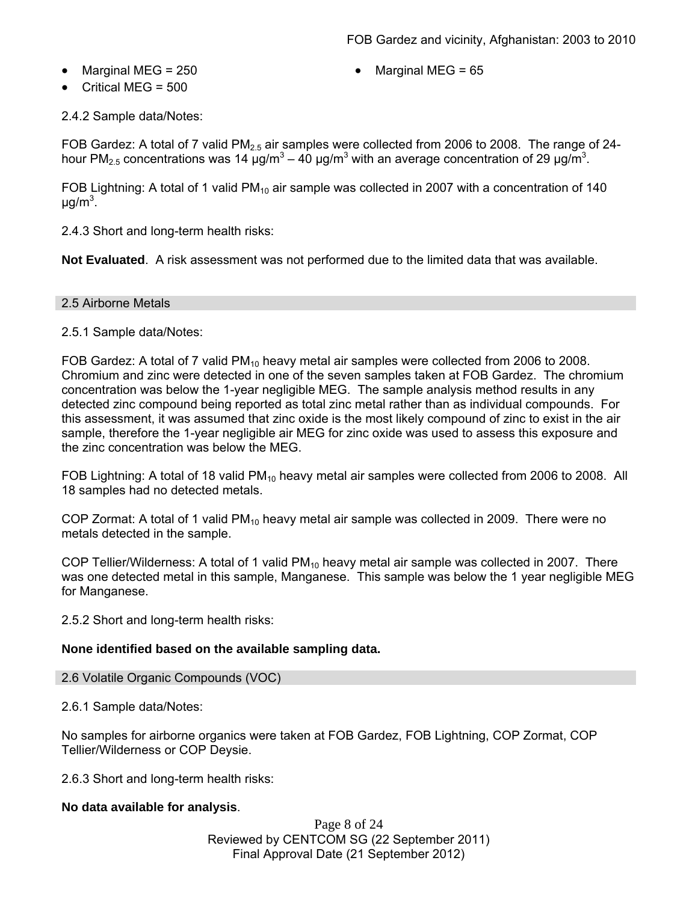- - Marginal MEG =  $250$   $\bullet$  Marginal MEG =  $65$
- Critical MEG = 500

2.4.2 Sample data/Notes:

FOB Gardez: A total of 7 valid  $PM<sub>2.5</sub>$  air samples were collected from 2006 to 2008. The range of 24hour PM<sub>2.5</sub> concentrations was 14 μg/m<sup>3</sup> – 40 μg/m<sup>3</sup> with an average concentration of 29 μg/m<sup>3</sup>.

FOB Lightning: A total of 1 valid  $PM_{10}$  air sample was collected in 2007 with a concentration of 140 μg/m $^3$ .

2.4.3 Short and long-term health risks:

**Not Evaluated**. A risk assessment was not performed due to the limited data that was available.

### 2.5 Airborne Metals

2.5.1 Sample data/Notes:

FOB Gardez: A total of 7 valid  $PM_{10}$  heavy metal air samples were collected from 2006 to 2008. Chromium and zinc were detected in one of the seven samples taken at FOB Gardez. The chromium concentration was below the 1-year negligible MEG. The sample analysis method results in any detected zinc compound being reported as total zinc metal rather than as individual compounds. For this assessment, it was assumed that zinc oxide is the most likely compound of zinc to exist in the air sample, therefore the 1-year negligible air MEG for zinc oxide was used to assess this exposure and the zinc concentration was below the MEG.

FOB Lightning: A total of 18 valid PM<sub>10</sub> heavy metal air samples were collected from 2006 to 2008. All 18 samples had no detected metals.

COP Zormat: A total of 1 valid  $PM_{10}$  heavy metal air sample was collected in 2009. There were no metals detected in the sample.

COP Tellier/Wilderness: A total of 1 valid PM<sub>10</sub> heavy metal air sample was collected in 2007. There was one detected metal in this sample, Manganese. This sample was below the 1 year negligible MEG for Manganese.

2.5.2 Short and long-term health risks:

### **None identified based on the available sampling data.**

2.6 Volatile Organic Compounds (VOC)

2.6.1 Sample data/Notes:

No samples for airborne organics were taken at FOB Gardez, FOB Lightning, COP Zormat, COP Tellier/Wilderness or COP Deysie.

2.6.3 Short and long-term health risks:

### **No data available for analysis**.

Page 8 of 24 Reviewed by CENTCOM SG (22 September 2011) Final Approval Date (21 September 2012)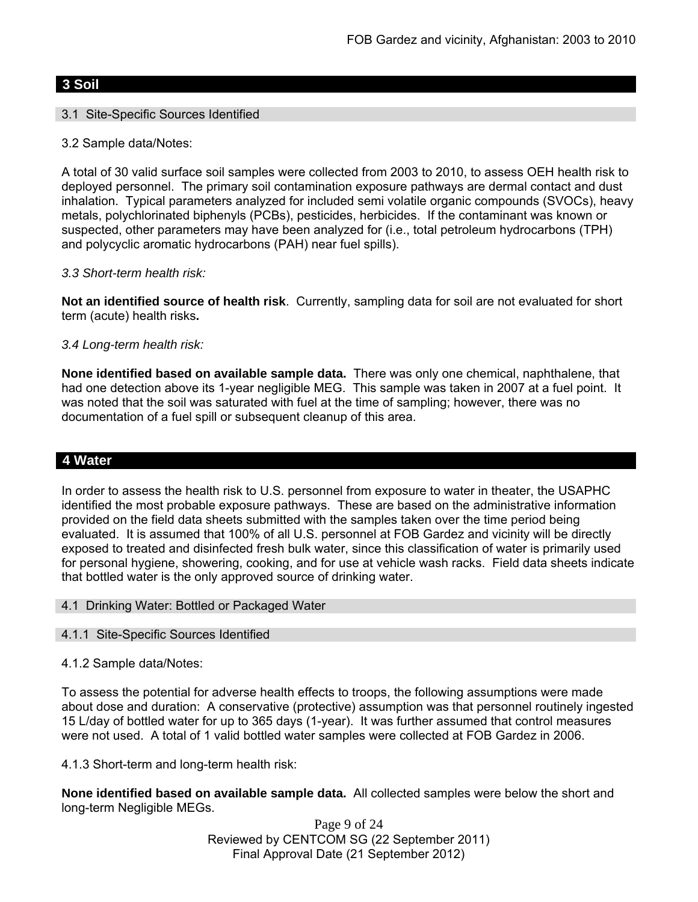## **3 Soil**

### 3.1 Site-Specific Sources Identified

3.2 Sample data/Notes:

A total of 30 valid surface soil samples were collected from 2003 to 2010, to assess OEH health risk to deployed personnel. The primary soil contamination exposure pathways are dermal contact and dust inhalation. Typical parameters analyzed for included semi volatile organic compounds (SVOCs), heavy metals, polychlorinated biphenyls (PCBs), pesticides, herbicides. If the contaminant was known or suspected, other parameters may have been analyzed for (i.e., total petroleum hydrocarbons (TPH) and polycyclic aromatic hydrocarbons (PAH) near fuel spills).

### *3.3 Short-term health risk:*

**Not an identified source of health risk**. Currently, sampling data for soil are not evaluated for short term (acute) health risks**.**

### *3.4 Long-term health risk:*

**None identified based on available sample data.** There was only one chemical, naphthalene, that had one detection above its 1-year negligible MEG. This sample was taken in 2007 at a fuel point. It was noted that the soil was saturated with fuel at the time of sampling; however, there was no documentation of a fuel spill or subsequent cleanup of this area.

## **4 Water**

In order to assess the health risk to U.S. personnel from exposure to water in theater, the USAPHC identified the most probable exposure pathways. These are based on the administrative information provided on the field data sheets submitted with the samples taken over the time period being evaluated. It is assumed that 100% of all U.S. personnel at FOB Gardez and vicinity will be directly exposed to treated and disinfected fresh bulk water, since this classification of water is primarily used for personal hygiene, showering, cooking, and for use at vehicle wash racks. Field data sheets indicate that bottled water is the only approved source of drinking water.

### 4.1 Drinking Water: Bottled or Packaged Water

### 4.1.1 Site-Specific Sources Identified

### 4.1.2 Sample data/Notes:

To assess the potential for adverse health effects to troops, the following assumptions were made about dose and duration: A conservative (protective) assumption was that personnel routinely ingested 15 L/day of bottled water for up to 365 days (1-year). It was further assumed that control measures were not used. A total of 1 valid bottled water samples were collected at FOB Gardez in 2006.

4.1.3 Short-term and long-term health risk:

**None identified based on available sample data.** All collected samples were below the short and long-term Negligible MEGs.

> Page 9 of 24 Reviewed by CENTCOM SG (22 September 2011) Final Approval Date (21 September 2012)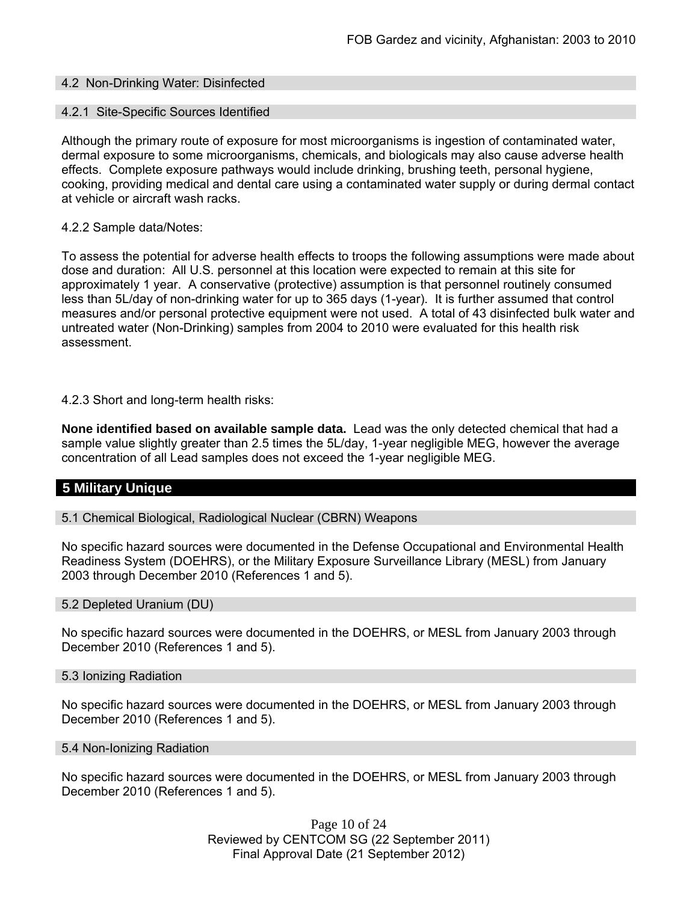### 4.2 Non-Drinking Water: Disinfected

#### 4.2.1 Site-Specific Sources Identified

Although the primary route of exposure for most microorganisms is ingestion of contaminated water, dermal exposure to some microorganisms, chemicals, and biologicals may also cause adverse health effects. Complete exposure pathways would include drinking, brushing teeth, personal hygiene, cooking, providing medical and dental care using a contaminated water supply or during dermal contact at vehicle or aircraft wash racks.

#### 4.2.2 Sample data/Notes:

To assess the potential for adverse health effects to troops the following assumptions were made about dose and duration: All U.S. personnel at this location were expected to remain at this site for approximately 1 year. A conservative (protective) assumption is that personnel routinely consumed less than 5L/day of non-drinking water for up to 365 days (1-year). It is further assumed that control measures and/or personal protective equipment were not used. A total of 43 disinfected bulk water and untreated water (Non-Drinking) samples from 2004 to 2010 were evaluated for this health risk assessment.

### 4.2.3 Short and long-term health risks:

**None identified based on available sample data.** Lead was the only detected chemical that had a sample value slightly greater than 2.5 times the 5L/day, 1-year negligible MEG, however the average concentration of all Lead samples does not exceed the 1-year negligible MEG.

# **5 Military Unique**

### 5.1 Chemical Biological, Radiological Nuclear (CBRN) Weapons

No specific hazard sources were documented in the Defense Occupational and Environmental Health Readiness System (DOEHRS), or the Military Exposure Surveillance Library (MESL) from January 2003 through December 2010 (References 1 and 5).

#### 5.2 Depleted Uranium (DU)

No specific hazard sources were documented in the DOEHRS, or MESL from January 2003 through December 2010 (References 1 and 5).

#### 5.3 Ionizing Radiation

No specific hazard sources were documented in the DOEHRS, or MESL from January 2003 through December 2010 (References 1 and 5).

#### 5.4 Non-Ionizing Radiation

No specific hazard sources were documented in the DOEHRS, or MESL from January 2003 through December 2010 (References 1 and 5).

> Page 10 of 24 Reviewed by CENTCOM SG (22 September 2011) Final Approval Date (21 September 2012)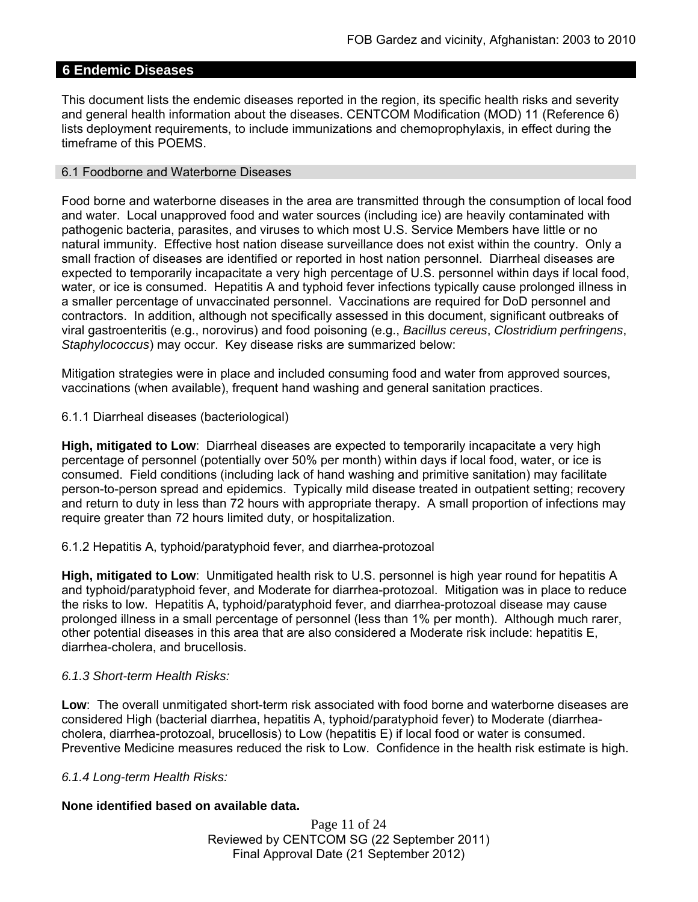# **6 Endemic Diseases**

This document lists the endemic diseases reported in the region, its specific health risks and severity and general health information about the diseases. CENTCOM Modification (MOD) 11 (Reference 6) lists deployment requirements, to include immunizations and chemoprophylaxis, in effect during the timeframe of this POEMS.

### 6.1 Foodborne and Waterborne Diseases

Food borne and waterborne diseases in the area are transmitted through the consumption of local food and water. Local unapproved food and water sources (including ice) are heavily contaminated with pathogenic bacteria, parasites, and viruses to which most U.S. Service Members have little or no natural immunity. Effective host nation disease surveillance does not exist within the country. Only a small fraction of diseases are identified or reported in host nation personnel. Diarrheal diseases are expected to temporarily incapacitate a very high percentage of U.S. personnel within days if local food, water, or ice is consumed. Hepatitis A and typhoid fever infections typically cause prolonged illness in a smaller percentage of unvaccinated personnel. Vaccinations are required for DoD personnel and contractors. In addition, although not specifically assessed in this document, significant outbreaks of viral gastroenteritis (e.g., norovirus) and food poisoning (e.g., *Bacillus cereus*, *Clostridium perfringens*, *Staphylococcus*) may occur. Key disease risks are summarized below:

Mitigation strategies were in place and included consuming food and water from approved sources, vaccinations (when available), frequent hand washing and general sanitation practices.

6.1.1 Diarrheal diseases (bacteriological)

**High, mitigated to Low**: Diarrheal diseases are expected to temporarily incapacitate a very high percentage of personnel (potentially over 50% per month) within days if local food, water, or ice is consumed. Field conditions (including lack of hand washing and primitive sanitation) may facilitate person-to-person spread and epidemics. Typically mild disease treated in outpatient setting; recovery and return to duty in less than 72 hours with appropriate therapy. A small proportion of infections may require greater than 72 hours limited duty, or hospitalization.

6.1.2 Hepatitis A, typhoid/paratyphoid fever, and diarrhea-protozoal

**High, mitigated to Low**: Unmitigated health risk to U.S. personnel is high year round for hepatitis A and typhoid/paratyphoid fever, and Moderate for diarrhea-protozoal. Mitigation was in place to reduce the risks to low. Hepatitis A, typhoid/paratyphoid fever, and diarrhea-protozoal disease may cause prolonged illness in a small percentage of personnel (less than 1% per month). Although much rarer, other potential diseases in this area that are also considered a Moderate risk include: hepatitis E, diarrhea-cholera, and brucellosis.

## *6.1.3 Short-term Health Risks:*

**Low**: The overall unmitigated short-term risk associated with food borne and waterborne diseases are considered High (bacterial diarrhea, hepatitis A, typhoid/paratyphoid fever) to Moderate (diarrheacholera, diarrhea-protozoal, brucellosis) to Low (hepatitis E) if local food or water is consumed. Preventive Medicine measures reduced the risk to Low. Confidence in the health risk estimate is high.

### *6.1.4 Long-term Health Risks:*

### **None identified based on available data.**

Page 11 of 24 Reviewed by CENTCOM SG (22 September 2011) Final Approval Date (21 September 2012)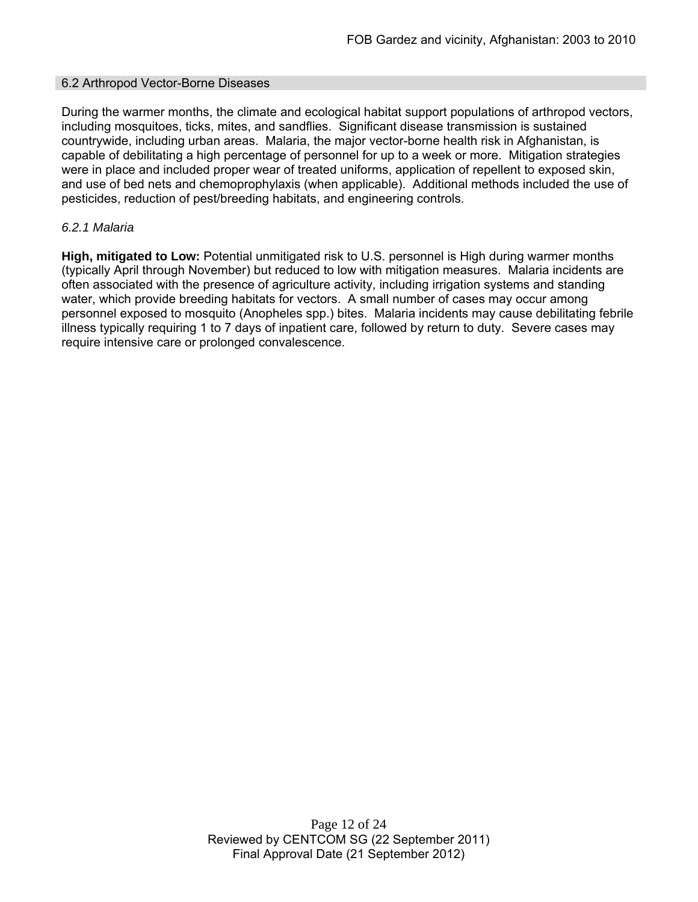#### 6.2 Arthropod Vector-Borne Diseases

During the warmer months, the climate and ecological habitat support populations of arthropod vectors, including mosquitoes, ticks, mites, and sandflies. Significant disease transmission is sustained countrywide, including urban areas. Malaria, the major vector-borne health risk in Afghanistan, is capable of debilitating a high percentage of personnel for up to a week or more. Mitigation strategies were in place and included proper wear of treated uniforms, application of repellent to exposed skin, and use of bed nets and chemoprophylaxis (when applicable). Additional methods included the use of pesticides, reduction of pest/breeding habitats, and engineering controls.

### *6.2.1 Malaria*

**High, mitigated to Low:** Potential unmitigated risk to U.S. personnel is High during warmer months (typically April through November) but reduced to low with mitigation measures. Malaria incidents are often associated with the presence of agriculture activity, including irrigation systems and standing water, which provide breeding habitats for vectors. A small number of cases may occur among personnel exposed to mosquito (Anopheles spp.) bites. Malaria incidents may cause debilitating febrile illness typically requiring 1 to 7 days of inpatient care, followed by return to duty. Severe cases may require intensive care or prolonged convalescence.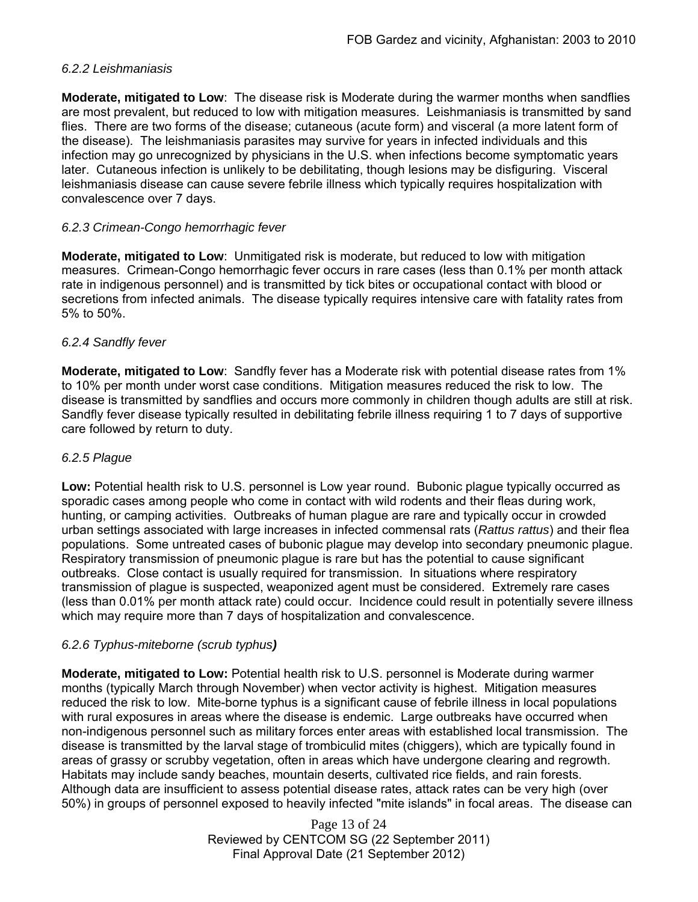## *6.2.2 Leishmaniasis*

**Moderate, mitigated to Low**: The disease risk is Moderate during the warmer months when sandflies are most prevalent, but reduced to low with mitigation measures. Leishmaniasis is transmitted by sand flies. There are two forms of the disease; cutaneous (acute form) and visceral (a more latent form of the disease). The leishmaniasis parasites may survive for years in infected individuals and this infection may go unrecognized by physicians in the U.S. when infections become symptomatic years later. Cutaneous infection is unlikely to be debilitating, though lesions may be disfiguring. Visceral leishmaniasis disease can cause severe febrile illness which typically requires hospitalization with convalescence over 7 days.

### *6.2.3 Crimean-Congo hemorrhagic fever*

**Moderate, mitigated to Low**: Unmitigated risk is moderate, but reduced to low with mitigation measures. Crimean-Congo hemorrhagic fever occurs in rare cases (less than 0.1% per month attack rate in indigenous personnel) and is transmitted by tick bites or occupational contact with blood or secretions from infected animals. The disease typically requires intensive care with fatality rates from 5% to 50%.

### *6.2.4 Sandfly fever*

**Moderate, mitigated to Low**: Sandfly fever has a Moderate risk with potential disease rates from 1% to 10% per month under worst case conditions. Mitigation measures reduced the risk to low. The disease is transmitted by sandflies and occurs more commonly in children though adults are still at risk. Sandfly fever disease typically resulted in debilitating febrile illness requiring 1 to 7 days of supportive care followed by return to duty.

### *6.2.5 Plague*

**Low:** Potential health risk to U.S. personnel is Low year round. Bubonic plague typically occurred as sporadic cases among people who come in contact with wild rodents and their fleas during work, hunting, or camping activities. Outbreaks of human plague are rare and typically occur in crowded urban settings associated with large increases in infected commensal rats (*Rattus rattus*) and their flea populations. Some untreated cases of bubonic plague may develop into secondary pneumonic plague. Respiratory transmission of pneumonic plague is rare but has the potential to cause significant outbreaks. Close contact is usually required for transmission. In situations where respiratory transmission of plague is suspected, weaponized agent must be considered. Extremely rare cases (less than 0.01% per month attack rate) could occur. Incidence could result in potentially severe illness which may require more than 7 days of hospitalization and convalescence.

## *6.2.6 Typhus-miteborne (scrub typhus)*

**Moderate, mitigated to Low:** Potential health risk to U.S. personnel is Moderate during warmer months (typically March through November) when vector activity is highest. Mitigation measures reduced the risk to low. Mite-borne typhus is a significant cause of febrile illness in local populations with rural exposures in areas where the disease is endemic. Large outbreaks have occurred when non-indigenous personnel such as military forces enter areas with established local transmission. The disease is transmitted by the larval stage of trombiculid mites (chiggers), which are typically found in areas of grassy or scrubby vegetation, often in areas which have undergone clearing and regrowth. Habitats may include sandy beaches, mountain deserts, cultivated rice fields, and rain forests. Although data are insufficient to assess potential disease rates, attack rates can be very high (over 50%) in groups of personnel exposed to heavily infected "mite islands" in focal areas. The disease can

> Page 13 of 24 Reviewed by CENTCOM SG (22 September 2011) Final Approval Date (21 September 2012)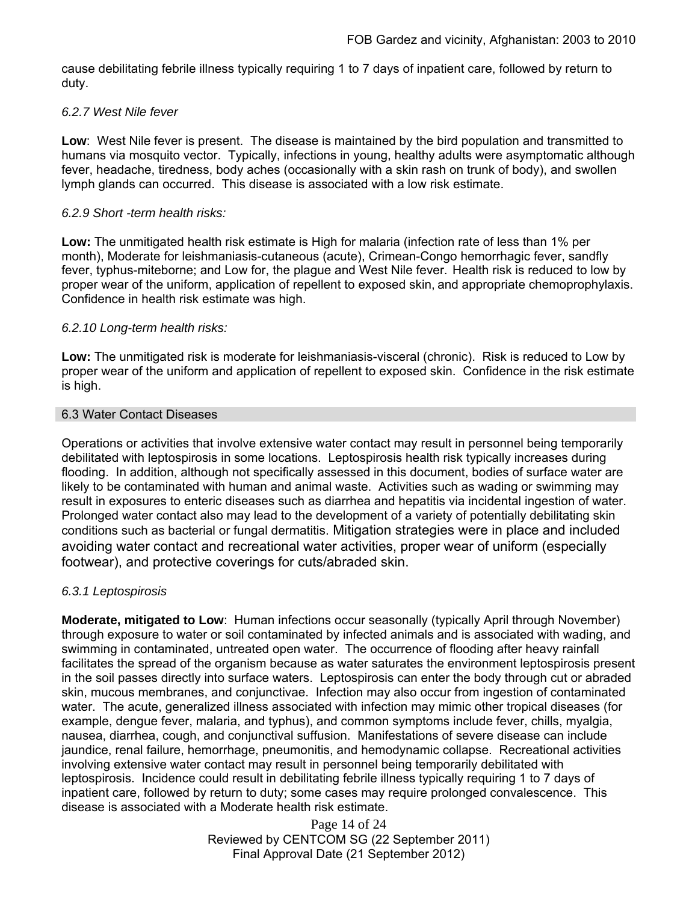cause debilitating febrile illness typically requiring 1 to 7 days of inpatient care, followed by return to duty.

### *6.2.7 West Nile fever*

**Low**: West Nile fever is present. The disease is maintained by the bird population and transmitted to humans via mosquito vector. Typically, infections in young, healthy adults were asymptomatic although fever, headache, tiredness, body aches (occasionally with a skin rash on trunk of body), and swollen lymph glands can occurred. This disease is associated with a low risk estimate.

### *6.2.9 Short -term health risks:*

**Low:** The unmitigated health risk estimate is High for malaria (infection rate of less than 1% per month), Moderate for leishmaniasis-cutaneous (acute), Crimean-Congo hemorrhagic fever, sandfly fever, typhus-miteborne; and Low for, the plague and West Nile fever. Health risk is reduced to low by proper wear of the uniform, application of repellent to exposed skin, and appropriate chemoprophylaxis. Confidence in health risk estimate was high.

### *6.2.10 Long-term health risks:*

**Low:** The unmitigated risk is moderate for leishmaniasis-visceral (chronic). Risk is reduced to Low by proper wear of the uniform and application of repellent to exposed skin. Confidence in the risk estimate is high.

### 6.3 Water Contact Diseases

Operations or activities that involve extensive water contact may result in personnel being temporarily debilitated with leptospirosis in some locations. Leptospirosis health risk typically increases during flooding. In addition, although not specifically assessed in this document, bodies of surface water are likely to be contaminated with human and animal waste. Activities such as wading or swimming may result in exposures to enteric diseases such as diarrhea and hepatitis via incidental ingestion of water. Prolonged water contact also may lead to the development of a variety of potentially debilitating skin conditions such as bacterial or fungal dermatitis. Mitigation strategies were in place and included avoiding water contact and recreational water activities, proper wear of uniform (especially footwear), and protective coverings for cuts/abraded skin.

## *6.3.1 Leptospirosis*

**Moderate, mitigated to Low**: Human infections occur seasonally (typically April through November) through exposure to water or soil contaminated by infected animals and is associated with wading, and swimming in contaminated, untreated open water. The occurrence of flooding after heavy rainfall facilitates the spread of the organism because as water saturates the environment leptospirosis present in the soil passes directly into surface waters. Leptospirosis can enter the body through cut or abraded skin, mucous membranes, and conjunctivae. Infection may also occur from ingestion of contaminated water. The acute, generalized illness associated with infection may mimic other tropical diseases (for example, dengue fever, malaria, and typhus), and common symptoms include fever, chills, myalgia, nausea, diarrhea, cough, and conjunctival suffusion. Manifestations of severe disease can include jaundice, renal failure, hemorrhage, pneumonitis, and hemodynamic collapse. Recreational activities involving extensive water contact may result in personnel being temporarily debilitated with leptospirosis. Incidence could result in debilitating febrile illness typically requiring 1 to 7 days of inpatient care, followed by return to duty; some cases may require prolonged convalescence. This disease is associated with a Moderate health risk estimate.

> Page 14 of 24 Reviewed by CENTCOM SG (22 September 2011) Final Approval Date (21 September 2012)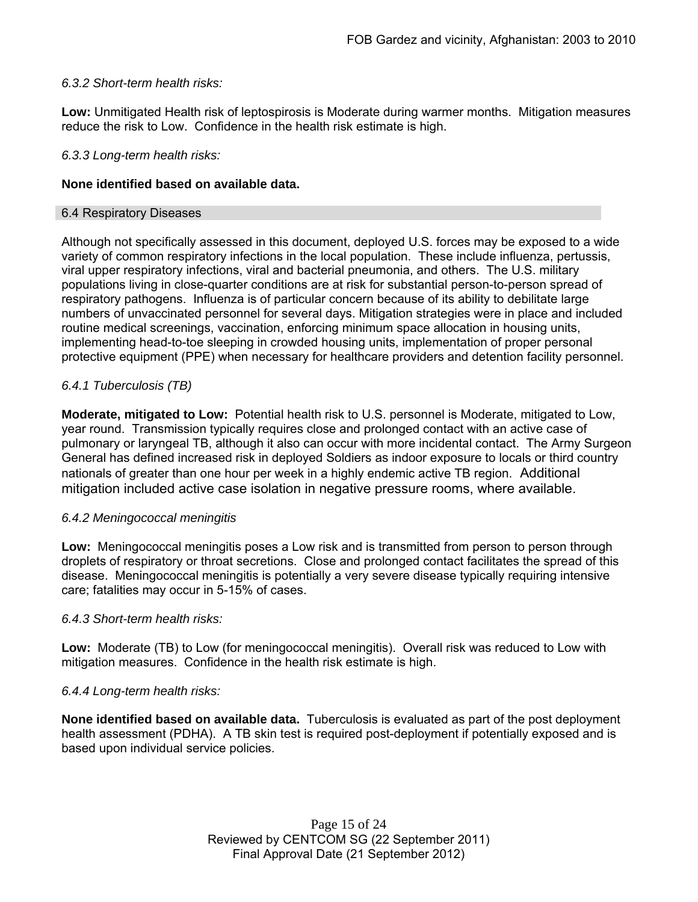### *6.3.2 Short-term health risks:*

**Low:** Unmitigated Health risk of leptospirosis is Moderate during warmer months. Mitigation measures reduce the risk to Low. Confidence in the health risk estimate is high.

### *6.3.3 Long-term health risks:*

### **None identified based on available data.**

### 6.4 Respiratory Diseases

Although not specifically assessed in this document, deployed U.S. forces may be exposed to a wide variety of common respiratory infections in the local population. These include influenza, pertussis, viral upper respiratory infections, viral and bacterial pneumonia, and others. The U.S. military populations living in close-quarter conditions are at risk for substantial person-to-person spread of respiratory pathogens. Influenza is of particular concern because of its ability to debilitate large numbers of unvaccinated personnel for several days. Mitigation strategies were in place and included routine medical screenings, vaccination, enforcing minimum space allocation in housing units, implementing head-to-toe sleeping in crowded housing units, implementation of proper personal protective equipment (PPE) when necessary for healthcare providers and detention facility personnel.

## *6.4.1 Tuberculosis (TB)*

**Moderate, mitigated to Low:** Potential health risk to U.S. personnel is Moderate, mitigated to Low, year round. Transmission typically requires close and prolonged contact with an active case of pulmonary or laryngeal TB, although it also can occur with more incidental contact. The Army Surgeon General has defined increased risk in deployed Soldiers as indoor exposure to locals or third country nationals of greater than one hour per week in a highly endemic active TB region. Additional mitigation included active case isolation in negative pressure rooms, where available.

### *6.4.2 Meningococcal meningitis*

**Low:** Meningococcal meningitis poses a Low risk and is transmitted from person to person through droplets of respiratory or throat secretions. Close and prolonged contact facilitates the spread of this disease. Meningococcal meningitis is potentially a very severe disease typically requiring intensive care; fatalities may occur in 5-15% of cases.

### *6.4.3 Short-term health risks:*

**Low:** Moderate (TB) to Low (for meningococcal meningitis). Overall risk was reduced to Low with mitigation measures. Confidence in the health risk estimate is high.

### *6.4.4 Long-term health risks:*

**None identified based on available data.** Tuberculosis is evaluated as part of the post deployment health assessment (PDHA). A TB skin test is required post-deployment if potentially exposed and is based upon individual service policies.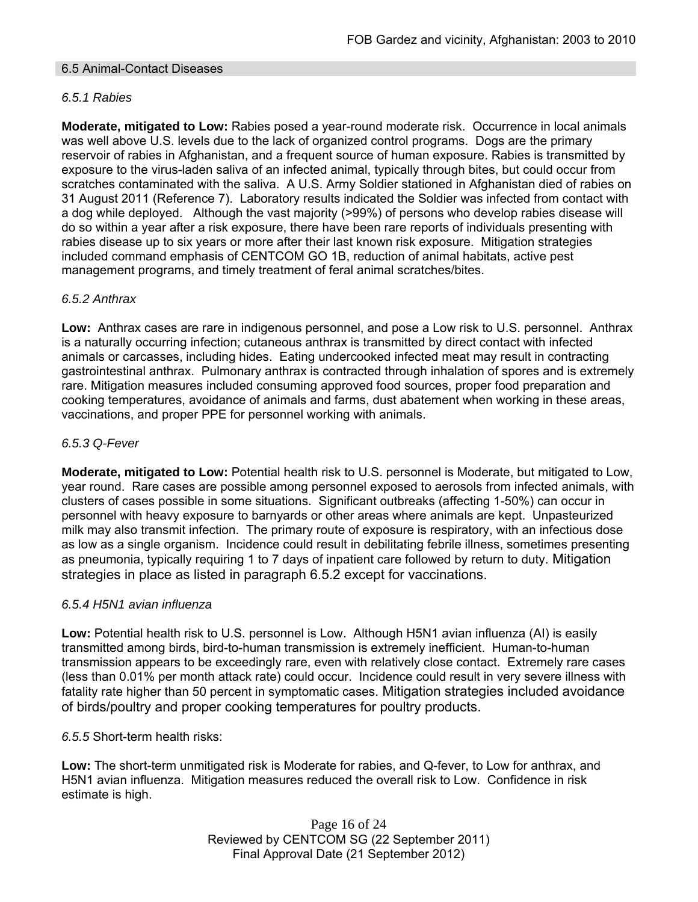### 6.5 Animal-Contact Diseases

## *6.5.1 Rabies*

**Moderate, mitigated to Low:** Rabies posed a year-round moderate risk. Occurrence in local animals was well above U.S. levels due to the lack of organized control programs. Dogs are the primary reservoir of rabies in Afghanistan, and a frequent source of human exposure. Rabies is transmitted by exposure to the virus-laden saliva of an infected animal, typically through bites, but could occur from scratches contaminated with the saliva. A U.S. Army Soldier stationed in Afghanistan died of rabies on 31 August 2011 (Reference 7). Laboratory results indicated the Soldier was infected from contact with a dog while deployed. Although the vast majority (>99%) of persons who develop rabies disease will do so within a year after a risk exposure, there have been rare reports of individuals presenting with rabies disease up to six years or more after their last known risk exposure. Mitigation strategies included command emphasis of CENTCOM GO 1B, reduction of animal habitats, active pest management programs, and timely treatment of feral animal scratches/bites.

### *6.5.2 Anthrax*

**Low:** Anthrax cases are rare in indigenous personnel, and pose a Low risk to U.S. personnel. Anthrax is a naturally occurring infection; cutaneous anthrax is transmitted by direct contact with infected animals or carcasses, including hides. Eating undercooked infected meat may result in contracting gastrointestinal anthrax. Pulmonary anthrax is contracted through inhalation of spores and is extremely rare. Mitigation measures included consuming approved food sources, proper food preparation and cooking temperatures, avoidance of animals and farms, dust abatement when working in these areas, vaccinations, and proper PPE for personnel working with animals.

### *6.5.3 Q-Fever*

**Moderate, mitigated to Low:** Potential health risk to U.S. personnel is Moderate, but mitigated to Low, year round. Rare cases are possible among personnel exposed to aerosols from infected animals, with clusters of cases possible in some situations. Significant outbreaks (affecting 1-50%) can occur in personnel with heavy exposure to barnyards or other areas where animals are kept. Unpasteurized milk may also transmit infection. The primary route of exposure is respiratory, with an infectious dose as low as a single organism. Incidence could result in debilitating febrile illness, sometimes presenting as pneumonia, typically requiring 1 to 7 days of inpatient care followed by return to duty. Mitigation strategies in place as listed in paragraph 6.5.2 except for vaccinations.

### *6.5.4 H5N1 avian influenza*

**Low:** Potential health risk to U.S. personnel is Low. Although H5N1 avian influenza (AI) is easily transmitted among birds, bird-to-human transmission is extremely inefficient. Human-to-human transmission appears to be exceedingly rare, even with relatively close contact. Extremely rare cases (less than 0.01% per month attack rate) could occur. Incidence could result in very severe illness with fatality rate higher than 50 percent in symptomatic cases. Mitigation strategies included avoidance of birds/poultry and proper cooking temperatures for poultry products.

*6.5.5* Short-term health risks:

**Low:** The short-term unmitigated risk is Moderate for rabies, and Q-fever, to Low for anthrax, and H5N1 avian influenza. Mitigation measures reduced the overall risk to Low.Confidence in risk estimate is high.

> Page 16 of 24 Reviewed by CENTCOM SG (22 September 2011) Final Approval Date (21 September 2012)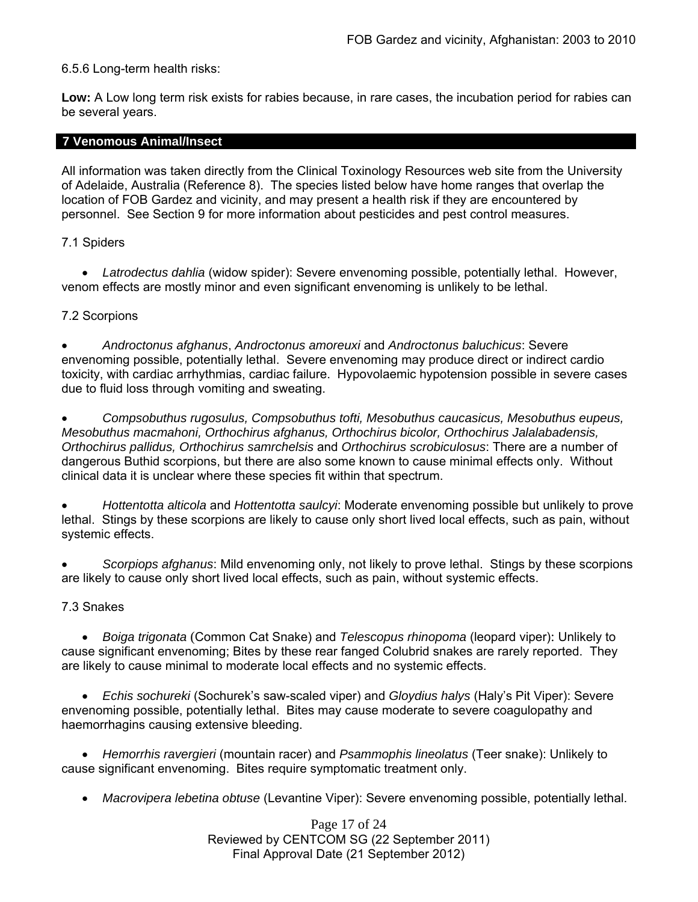6.5.6 Long-term health risks:

**Low:** A Low long term risk exists for rabies because, in rare cases, the incubation period for rabies can be several years.

### **7 Venomous Animal/Insect**

All information was taken directly from the Clinical Toxinology Resources web site from the University of Adelaide, Australia (Reference 8). The species listed below have home ranges that overlap the location of FOB Gardez and vicinity, and may present a health risk if they are encountered by personnel. See Section 9 for more information about pesticides and pest control measures.

### 7.1 Spiders

 *Latrodectus dahlia* (widow spider): Severe envenoming possible, potentially lethal. However, venom effects are mostly minor and even significant envenoming is unlikely to be lethal.

## 7.2 Scorpions

 *Androctonus afghanus*, *Androctonus amoreuxi* and *Androctonus baluchicus*: Severe envenoming possible, potentially lethal. Severe envenoming may produce direct or indirect cardio toxicity, with cardiac arrhythmias, cardiac failure. Hypovolaemic hypotension possible in severe cases due to fluid loss through vomiting and sweating.

 *Compsobuthus rugosulus, Compsobuthus tofti, Mesobuthus caucasicus, Mesobuthus eupeus, Mesobuthus macmahoni, Orthochirus afghanus, Orthochirus bicolor, Orthochirus Jalalabadensis, Orthochirus pallidus, Orthochirus samrchelsis* and *Orthochirus scrobiculosus*: There are a number of dangerous Buthid scorpions, but there are also some known to cause minimal effects only. Without clinical data it is unclear where these species fit within that spectrum.

 *Hottentotta alticola* and *Hottentotta saulcyi*: Moderate envenoming possible but unlikely to prove lethal. Stings by these scorpions are likely to cause only short lived local effects, such as pain, without systemic effects.

 *Scorpiops afghanus*: Mild envenoming only, not likely to prove lethal. Stings by these scorpions are likely to cause only short lived local effects, such as pain, without systemic effects.

## 7.3 Snakes

 *Boiga trigonata* (Common Cat Snake) and *Telescopus rhinopoma* (leopard viper): Unlikely to cause significant envenoming; Bites by these rear fanged Colubrid snakes are rarely reported. They are likely to cause minimal to moderate local effects and no systemic effects.

 *Echis sochureki* (Sochurek's saw-scaled viper) and *Gloydius halys* (Haly's Pit Viper): Severe envenoming possible, potentially lethal. Bites may cause moderate to severe coagulopathy and haemorrhagins causing extensive bleeding.

 *Hemorrhis ravergieri* (mountain racer) and *Psammophis lineolatus* (Teer snake): Unlikely to cause significant envenoming. Bites require symptomatic treatment only.

*Macrovipera lebetina obtuse* (Levantine Viper): Severe envenoming possible, potentially lethal.

Page 17 of 24 Reviewed by CENTCOM SG (22 September 2011) Final Approval Date (21 September 2012)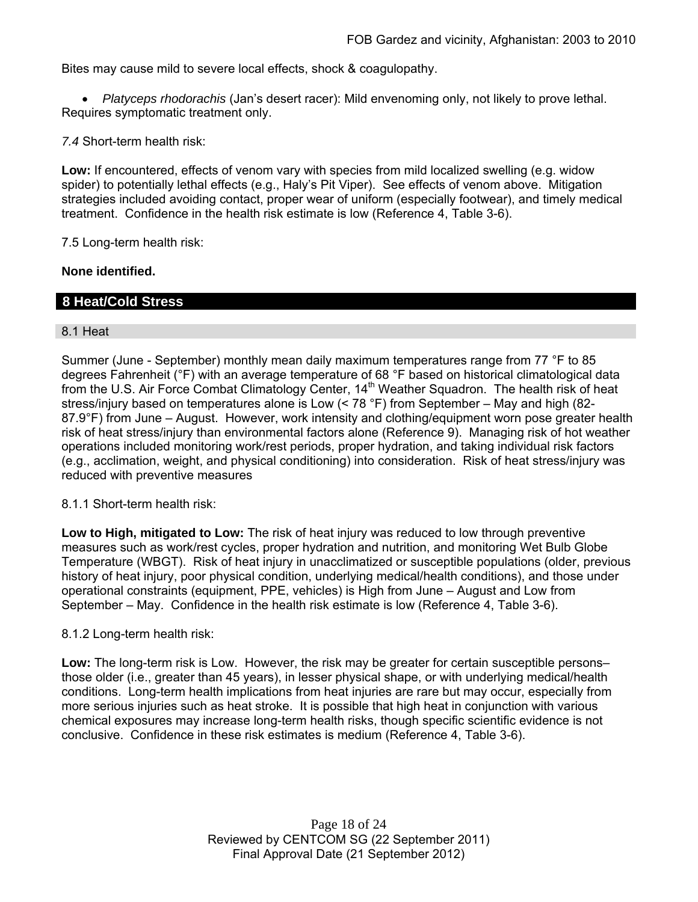Bites may cause mild to severe local effects, shock & coagulopathy.

 *Platyceps rhodorachis* (Jan's desert racer): Mild envenoming only, not likely to prove lethal. Requires symptomatic treatment only.

*7.4* Short-term health risk:

**Low:** If encountered, effects of venom vary with species from mild localized swelling (e.g. widow spider) to potentially lethal effects (e.g., Haly's Pit Viper). See effects of venom above. Mitigation strategies included avoiding contact, proper wear of uniform (especially footwear), and timely medical treatment. Confidence in the health risk estimate is low (Reference 4, Table 3-6).

7.5 Long-term health risk:

### **None identified.**

## **8 Heat/Cold Stress**

### 8.1 Heat

Summer (June - September) monthly mean daily maximum temperatures range from 77 °F to 85 degrees Fahrenheit (°F) with an average temperature of 68 °F based on historical climatological data from the U.S. Air Force Combat Climatology Center, 14<sup>th</sup> Weather Squadron. The health risk of heat stress/injury based on temperatures alone is Low (< 78 °F) from September – May and high (82- 87.9°F) from June – August. However, work intensity and clothing/equipment worn pose greater health risk of heat stress/injury than environmental factors alone (Reference 9). Managing risk of hot weather operations included monitoring work/rest periods, proper hydration, and taking individual risk factors (e.g., acclimation, weight, and physical conditioning) into consideration. Risk of heat stress/injury was reduced with preventive measures

8.1.1 Short-term health risk:

**Low to High, mitigated to Low:** The risk of heat injury was reduced to low through preventive measures such as work/rest cycles, proper hydration and nutrition, and monitoring Wet Bulb Globe Temperature (WBGT). Risk of heat injury in unacclimatized or susceptible populations (older, previous history of heat injury, poor physical condition, underlying medical/health conditions), and those under operational constraints (equipment, PPE, vehicles) is High from June – August and Low from September – May. Confidence in the health risk estimate is low (Reference 4, Table 3-6).

### 8.1.2 Long-term health risk:

**Low:** The long-term risk is Low. However, the risk may be greater for certain susceptible persons– those older (i.e., greater than 45 years), in lesser physical shape, or with underlying medical/health conditions. Long-term health implications from heat injuries are rare but may occur, especially from more serious injuries such as heat stroke. It is possible that high heat in conjunction with various chemical exposures may increase long-term health risks, though specific scientific evidence is not conclusive. Confidence in these risk estimates is medium (Reference 4, Table 3-6).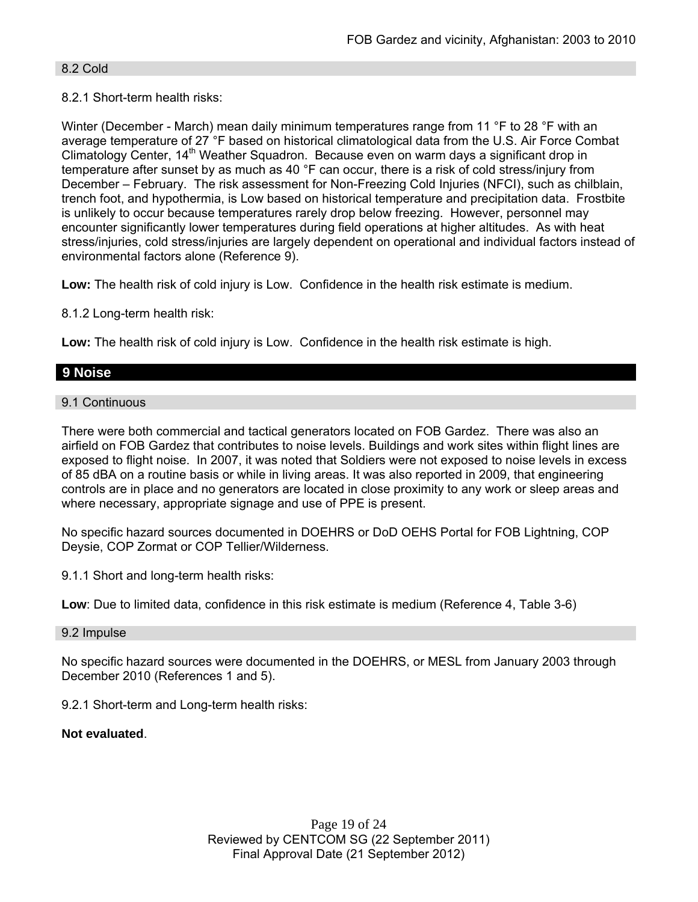### 8.2 Cold

## 8.2.1 Short-term health risks:

Winter (December - March) mean daily minimum temperatures range from 11 °F to 28 °F with an average temperature of 27 °F based on historical climatological data from the U.S. Air Force Combat Climatology Center, 14<sup>th</sup> Weather Squadron. Because even on warm days a significant drop in temperature after sunset by as much as 40 °F can occur, there is a risk of cold stress/injury from December – February. The risk assessment for Non-Freezing Cold Injuries (NFCI), such as chilblain, trench foot, and hypothermia, is Low based on historical temperature and precipitation data. Frostbite is unlikely to occur because temperatures rarely drop below freezing. However, personnel may encounter significantly lower temperatures during field operations at higher altitudes. As with heat stress/injuries, cold stress/injuries are largely dependent on operational and individual factors instead of environmental factors alone (Reference 9).

**Low:** The health risk of cold injury is Low. Confidence in the health risk estimate is medium.

8.1.2 Long-term health risk:

**Low:** The health risk of cold injury is Low. Confidence in the health risk estimate is high.

# **9 Noise**

9.1 Continuous

There were both commercial and tactical generators located on FOB Gardez. There was also an airfield on FOB Gardez that contributes to noise levels. Buildings and work sites within flight lines are exposed to flight noise. In 2007, it was noted that Soldiers were not exposed to noise levels in excess of 85 dBA on a routine basis or while in living areas. It was also reported in 2009, that engineering controls are in place and no generators are located in close proximity to any work or sleep areas and where necessary, appropriate signage and use of PPE is present.

No specific hazard sources documented in DOEHRS or DoD OEHS Portal for FOB Lightning, COP Deysie, COP Zormat or COP Tellier/Wilderness.

9.1.1 Short and long-term health risks:

**Low**: Due to limited data, confidence in this risk estimate is medium (Reference 4, Table 3-6)

### 9.2 Impulse

No specific hazard sources were documented in the DOEHRS, or MESL from January 2003 through December 2010 (References 1 and 5).

9.2.1 Short-term and Long-term health risks:

## **Not evaluated**.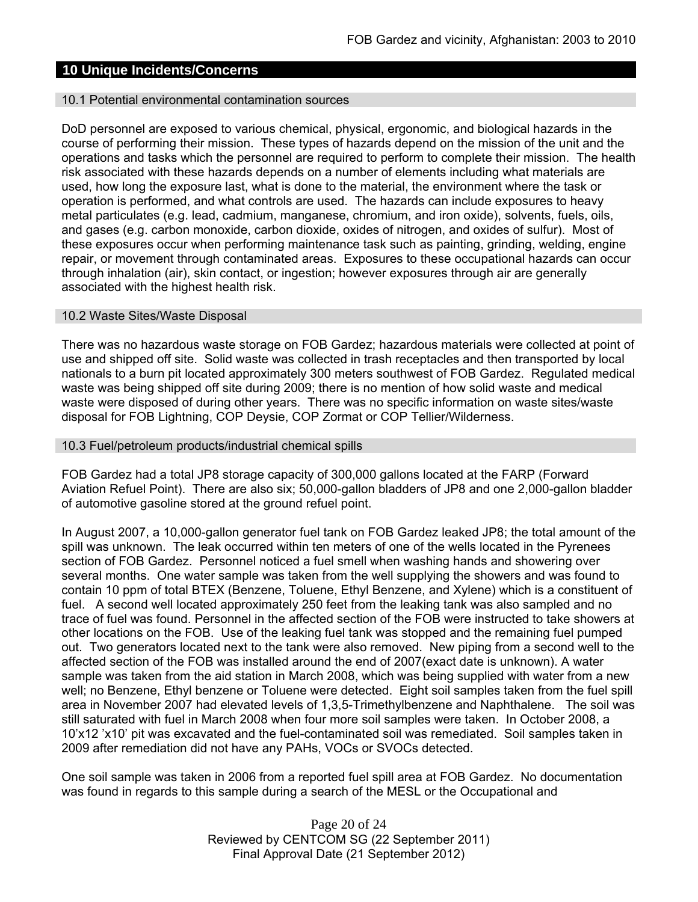# **10 Unique Incidents/Concerns**

#### 10.1 Potential environmental contamination sources

DoD personnel are exposed to various chemical, physical, ergonomic, and biological hazards in the course of performing their mission. These types of hazards depend on the mission of the unit and the operations and tasks which the personnel are required to perform to complete their mission. The health risk associated with these hazards depends on a number of elements including what materials are used, how long the exposure last, what is done to the material, the environment where the task or operation is performed, and what controls are used. The hazards can include exposures to heavy metal particulates (e.g. lead, cadmium, manganese, chromium, and iron oxide), solvents, fuels, oils, and gases (e.g. carbon monoxide, carbon dioxide, oxides of nitrogen, and oxides of sulfur). Most of these exposures occur when performing maintenance task such as painting, grinding, welding, engine repair, or movement through contaminated areas. Exposures to these occupational hazards can occur through inhalation (air), skin contact, or ingestion; however exposures through air are generally associated with the highest health risk.

### 10.2 Waste Sites/Waste Disposal

There was no hazardous waste storage on FOB Gardez; hazardous materials were collected at point of use and shipped off site. Solid waste was collected in trash receptacles and then transported by local nationals to a burn pit located approximately 300 meters southwest of FOB Gardez. Regulated medical waste was being shipped off site during 2009; there is no mention of how solid waste and medical waste were disposed of during other years. There was no specific information on waste sites/waste disposal for FOB Lightning, COP Deysie, COP Zormat or COP Tellier/Wilderness.

#### 10.3 Fuel/petroleum products/industrial chemical spills

FOB Gardez had a total JP8 storage capacity of 300,000 gallons located at the FARP (Forward Aviation Refuel Point). There are also six; 50,000-gallon bladders of JP8 and one 2,000-gallon bladder of automotive gasoline stored at the ground refuel point.

In August 2007, a 10,000-gallon generator fuel tank on FOB Gardez leaked JP8; the total amount of the spill was unknown. The leak occurred within ten meters of one of the wells located in the Pyrenees section of FOB Gardez. Personnel noticed a fuel smell when washing hands and showering over several months. One water sample was taken from the well supplying the showers and was found to contain 10 ppm of total BTEX (Benzene, Toluene, Ethyl Benzene, and Xylene) which is a constituent of fuel. A second well located approximately 250 feet from the leaking tank was also sampled and no trace of fuel was found. Personnel in the affected section of the FOB were instructed to take showers at other locations on the FOB. Use of the leaking fuel tank was stopped and the remaining fuel pumped out. Two generators located next to the tank were also removed. New piping from a second well to the affected section of the FOB was installed around the end of 2007(exact date is unknown). A water sample was taken from the aid station in March 2008, which was being supplied with water from a new well; no Benzene, Ethyl benzene or Toluene were detected. Eight soil samples taken from the fuel spill area in November 2007 had elevated levels of 1,3,5-Trimethylbenzene and Naphthalene. The soil was still saturated with fuel in March 2008 when four more soil samples were taken. In October 2008, a 10'x12 'x10' pit was excavated and the fuel-contaminated soil was remediated. Soil samples taken in 2009 after remediation did not have any PAHs, VOCs or SVOCs detected.

One soil sample was taken in 2006 from a reported fuel spill area at FOB Gardez. No documentation was found in regards to this sample during a search of the MESL or the Occupational and

> Page 20 of 24 Reviewed by CENTCOM SG (22 September 2011) Final Approval Date (21 September 2012)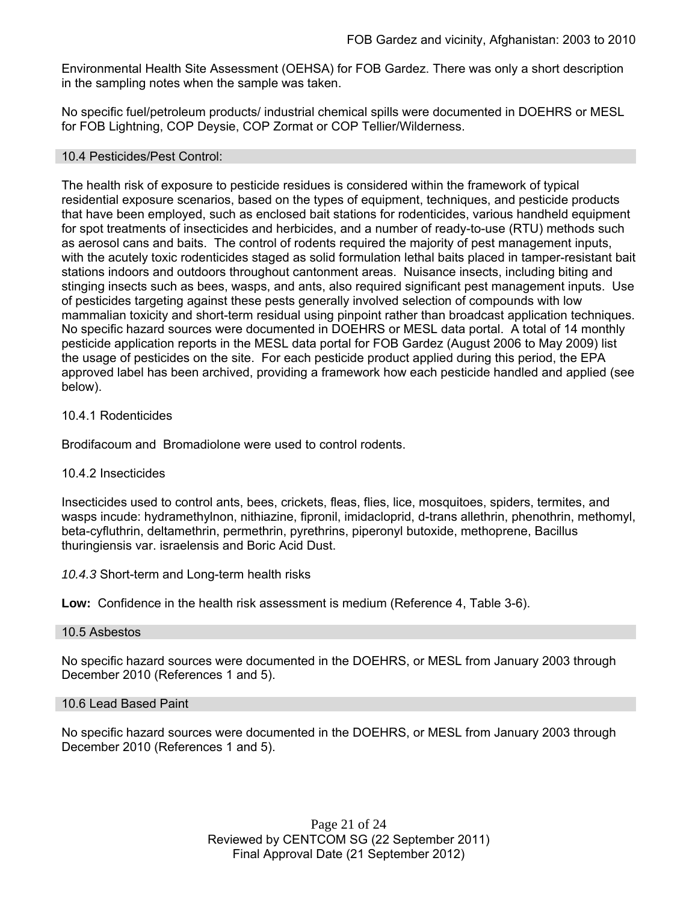Environmental Health Site Assessment (OEHSA) for FOB Gardez. There was only a short description in the sampling notes when the sample was taken.

No specific fuel/petroleum products/ industrial chemical spills were documented in DOEHRS or MESL for FOB Lightning, COP Deysie, COP Zormat or COP Tellier/Wilderness.

### 10.4 Pesticides/Pest Control:

The health risk of exposure to pesticide residues is considered within the framework of typical residential exposure scenarios, based on the types of equipment, techniques, and pesticide products that have been employed, such as enclosed bait stations for rodenticides, various handheld equipment for spot treatments of insecticides and herbicides, and a number of ready-to-use (RTU) methods such as aerosol cans and baits. The control of rodents required the majority of pest management inputs, with the acutely toxic rodenticides staged as solid formulation lethal baits placed in tamper-resistant bait stations indoors and outdoors throughout cantonment areas. Nuisance insects, including biting and stinging insects such as bees, wasps, and ants, also required significant pest management inputs. Use of pesticides targeting against these pests generally involved selection of compounds with low mammalian toxicity and short-term residual using pinpoint rather than broadcast application techniques. No specific hazard sources were documented in DOEHRS or MESL data portal. A total of 14 monthly pesticide application reports in the MESL data portal for FOB Gardez (August 2006 to May 2009) list the usage of pesticides on the site. For each pesticide product applied during this period, the EPA approved label has been archived, providing a framework how each pesticide handled and applied (see below).

### 10.4.1 Rodenticides

Brodifacoum and Bromadiolone were used to control rodents.

### 10.4.2 Insecticides

Insecticides used to control ants, bees, crickets, fleas, flies, lice, mosquitoes, spiders, termites, and wasps incude: hydramethylnon, nithiazine, fipronil, imidacloprid, d-trans allethrin, phenothrin, methomyl, beta-cyfluthrin, deltamethrin, permethrin, pyrethrins, piperonyl butoxide, methoprene, Bacillus thuringiensis var. israelensis and Boric Acid Dust.

### *10.4.3* Short-term and Long-term health risks

**Low:** Confidence in the health risk assessment is medium (Reference 4, Table 3-6).

### 10.5 Asbestos

No specific hazard sources were documented in the DOEHRS, or MESL from January 2003 through December 2010 (References 1 and 5).

### 10.6 Lead Based Paint

No specific hazard sources were documented in the DOEHRS, or MESL from January 2003 through December 2010 (References 1 and 5).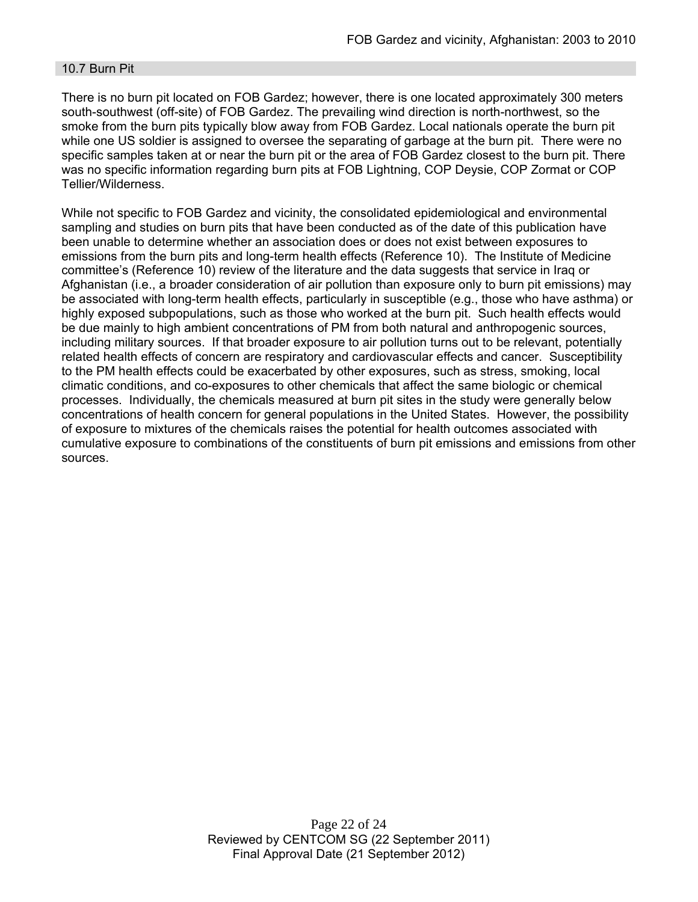### 10.7 Burn Pit

There is no burn pit located on FOB Gardez; however, there is one located approximately 300 meters south-southwest (off-site) of FOB Gardez. The prevailing wind direction is north-northwest, so the smoke from the burn pits typically blow away from FOB Gardez. Local nationals operate the burn pit while one US soldier is assigned to oversee the separating of garbage at the burn pit. There were no specific samples taken at or near the burn pit or the area of FOB Gardez closest to the burn pit. There was no specific information regarding burn pits at FOB Lightning, COP Deysie, COP Zormat or COP Tellier/Wilderness.

While not specific to FOB Gardez and vicinity, the consolidated epidemiological and environmental sampling and studies on burn pits that have been conducted as of the date of this publication have been unable to determine whether an association does or does not exist between exposures to emissions from the burn pits and long-term health effects (Reference 10). The Institute of Medicine committee's (Reference 10) review of the literature and the data suggests that service in Iraq or Afghanistan (i.e., a broader consideration of air pollution than exposure only to burn pit emissions) may be associated with long-term health effects, particularly in susceptible (e.g., those who have asthma) or highly exposed subpopulations, such as those who worked at the burn pit. Such health effects would be due mainly to high ambient concentrations of PM from both natural and anthropogenic sources, including military sources. If that broader exposure to air pollution turns out to be relevant, potentially related health effects of concern are respiratory and cardiovascular effects and cancer. Susceptibility to the PM health effects could be exacerbated by other exposures, such as stress, smoking, local climatic conditions, and co-exposures to other chemicals that affect the same biologic or chemical processes. Individually, the chemicals measured at burn pit sites in the study were generally below concentrations of health concern for general populations in the United States. However, the possibility of exposure to mixtures of the chemicals raises the potential for health outcomes associated with cumulative exposure to combinations of the constituents of burn pit emissions and emissions from other sources.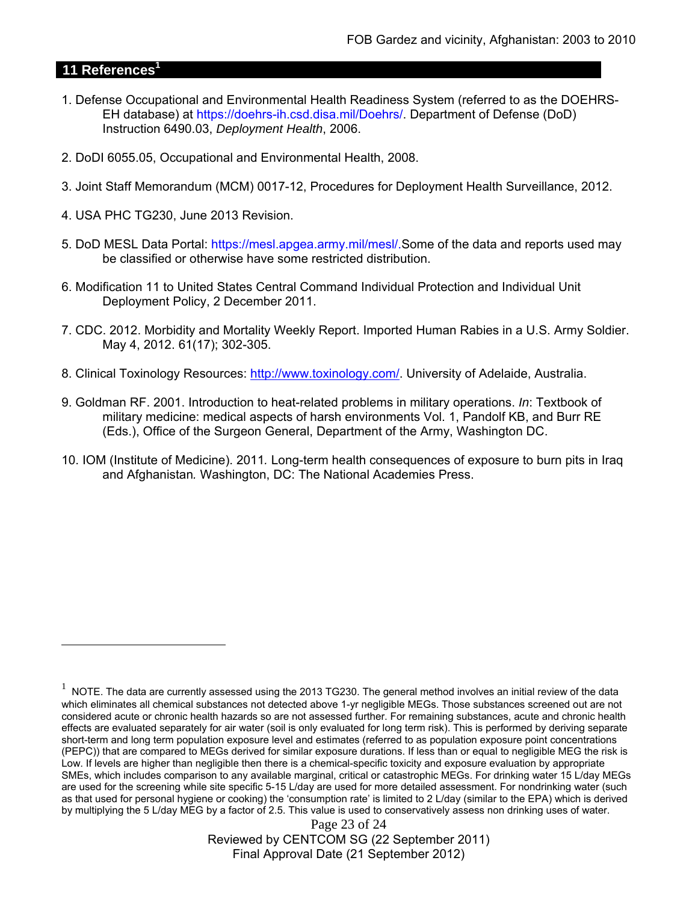# **11 References<sup>1</sup>**

 $\overline{a}$ 

- 1. Defense Occupational and Environmental Health Readiness System (referred to as the DOEHRS-EH database) at https://doehrs-ih.csd.disa.mil/Doehrs/. Department of Defense (DoD) Instruction 6490.03, *Deployment Health*, 2006.
- 2. DoDI 6055.05, Occupational and Environmental Health, 2008.
- 3. Joint Staff Memorandum (MCM) 0017-12, Procedures for Deployment Health Surveillance, 2012.
- 4. USA PHC TG230, June 2013 Revision.
- 5. DoD MESL Data Portal: https://mesl.apgea.army.mil/mesl/.Some of the data and reports used may be classified or otherwise have some restricted distribution.
- 6. Modification 11 to United States Central Command Individual Protection and Individual Unit Deployment Policy, 2 December 2011.
- 7. CDC. 2012. Morbidity and Mortality Weekly Report. Imported Human Rabies in a U.S. Army Soldier. May 4, 2012. 61(17); 302-305.
- 8. Clinical Toxinology Resources: http://www.toxinology.com/. University of Adelaide, Australia.
- 9. Goldman RF. 2001. Introduction to heat-related problems in military operations. *In*: Textbook of military medicine: medical aspects of harsh environments Vol. 1, Pandolf KB, and Burr RE (Eds.), Office of the Surgeon General, Department of the Army, Washington DC.
- 10. IOM (Institute of Medicine). 2011*.* Long-term health consequences of exposure to burn pits in Iraq and Afghanistan*.* Washington, DC: The National Academies Press.

Page 23 of 24 Reviewed by CENTCOM SG (22 September 2011) Final Approval Date (21 September 2012)

 $1$  NOTE. The data are currently assessed using the 2013 TG230. The general method involves an initial review of the data which eliminates all chemical substances not detected above 1-yr negligible MEGs. Those substances screened out are not considered acute or chronic health hazards so are not assessed further. For remaining substances, acute and chronic health effects are evaluated separately for air water (soil is only evaluated for long term risk). This is performed by deriving separate short-term and long term population exposure level and estimates (referred to as population exposure point concentrations (PEPC)) that are compared to MEGs derived for similar exposure durations. If less than or equal to negligible MEG the risk is Low. If levels are higher than negligible then there is a chemical-specific toxicity and exposure evaluation by appropriate SMEs, which includes comparison to any available marginal, critical or catastrophic MEGs. For drinking water 15 L/day MEGs are used for the screening while site specific 5-15 L/day are used for more detailed assessment. For nondrinking water (such as that used for personal hygiene or cooking) the 'consumption rate' is limited to 2 L/day (similar to the EPA) which is derived by multiplying the 5 L/day MEG by a factor of 2.5. This value is used to conservatively assess non drinking uses of water.